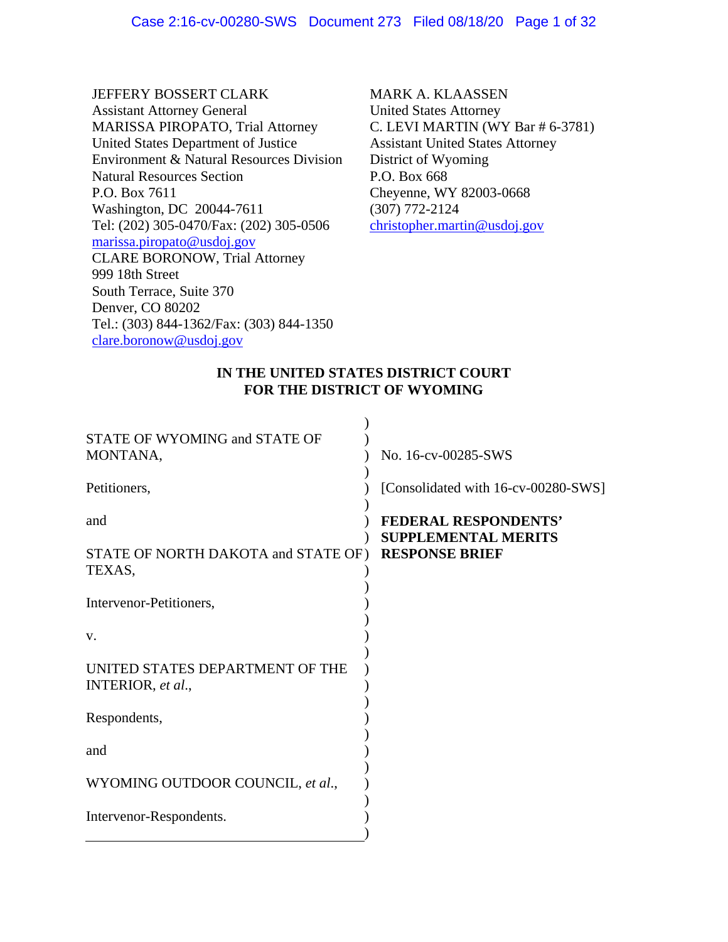JEFFERY BOSSERT CLARK Assistant Attorney General MARISSA PIROPATO, Trial Attorney United States Department of Justice Environment & Natural Resources Division Natural Resources Section P.O. Box 7611 Washington, DC 20044-7611 Tel: (202) 305-0470/Fax: (202) 305-0506 marissa.piropato@usdoj.gov CLARE BORONOW, Trial Attorney 999 18th Street South Terrace, Suite 370 Denver, CO 80202 Tel.: (303) 844-1362/Fax: (303) 844-1350 clare.boronow@usdoj.gov

MARK A. KLAASSEN United States Attorney C. LEVI MARTIN (WY Bar # 6-3781) Assistant United States Attorney District of Wyoming P.O. Box 668 Cheyenne, WY 82003-0668 (307) 772-2124 christopher.martin@usdoj.gov

### **IN THE UNITED STATES DISTRICT COURT FOR THE DISTRICT OF WYOMING**

| STATE OF WYOMING and STATE OF<br>MONTANA,            | No. 16-cv-00285-SWS                                       |
|------------------------------------------------------|-----------------------------------------------------------|
| Petitioners,                                         | [Consolidated with 16-cv-00280-SWS]                       |
| and                                                  | <b>FEDERAL RESPONDENTS'</b><br><b>SUPPLEMENTAL MERITS</b> |
| STATE OF NORTH DAKOTA and STATE OF)<br>TEXAS,        | <b>RESPONSE BRIEF</b>                                     |
| Intervenor-Petitioners,                              |                                                           |
| V.                                                   |                                                           |
| UNITED STATES DEPARTMENT OF THE<br>INTERIOR, et al., |                                                           |
| Respondents,                                         |                                                           |
| and                                                  |                                                           |
| WYOMING OUTDOOR COUNCIL, et al.,                     |                                                           |
| Intervenor-Respondents.                              |                                                           |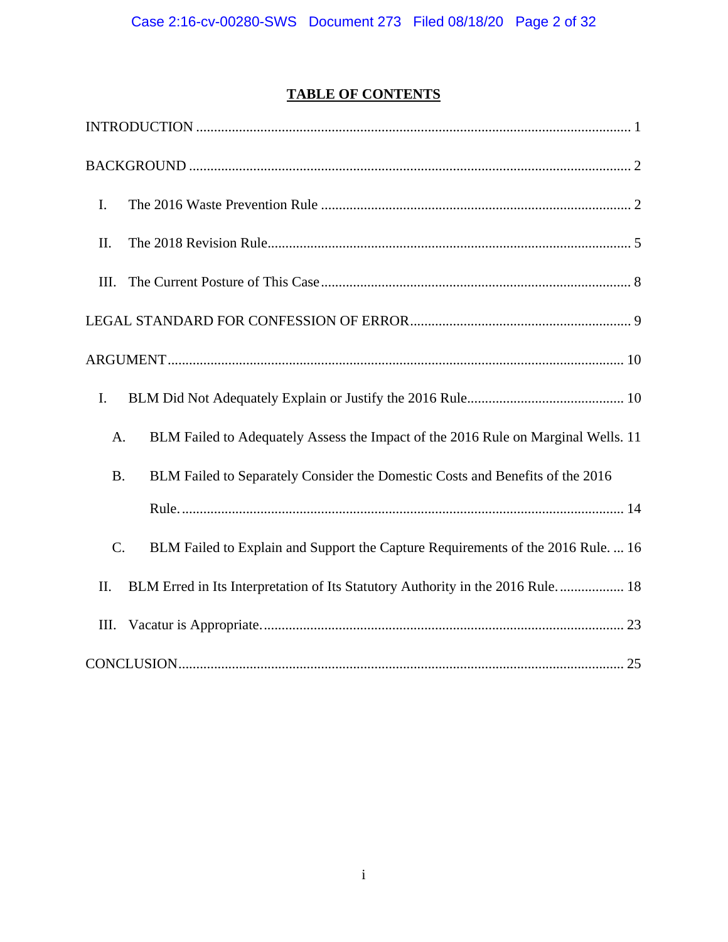# **TABLE OF CONTENTS**

| I.                                                                                         |
|--------------------------------------------------------------------------------------------|
| II.                                                                                        |
| III.                                                                                       |
|                                                                                            |
|                                                                                            |
| I.                                                                                         |
| BLM Failed to Adequately Assess the Impact of the 2016 Rule on Marginal Wells. 11<br>A.    |
| BLM Failed to Separately Consider the Domestic Costs and Benefits of the 2016<br><b>B.</b> |
|                                                                                            |
| BLM Failed to Explain and Support the Capture Requirements of the 2016 Rule.  16<br>C.     |
| BLM Erred in Its Interpretation of Its Statutory Authority in the 2016 Rule 18<br>II.      |
| III.                                                                                       |
|                                                                                            |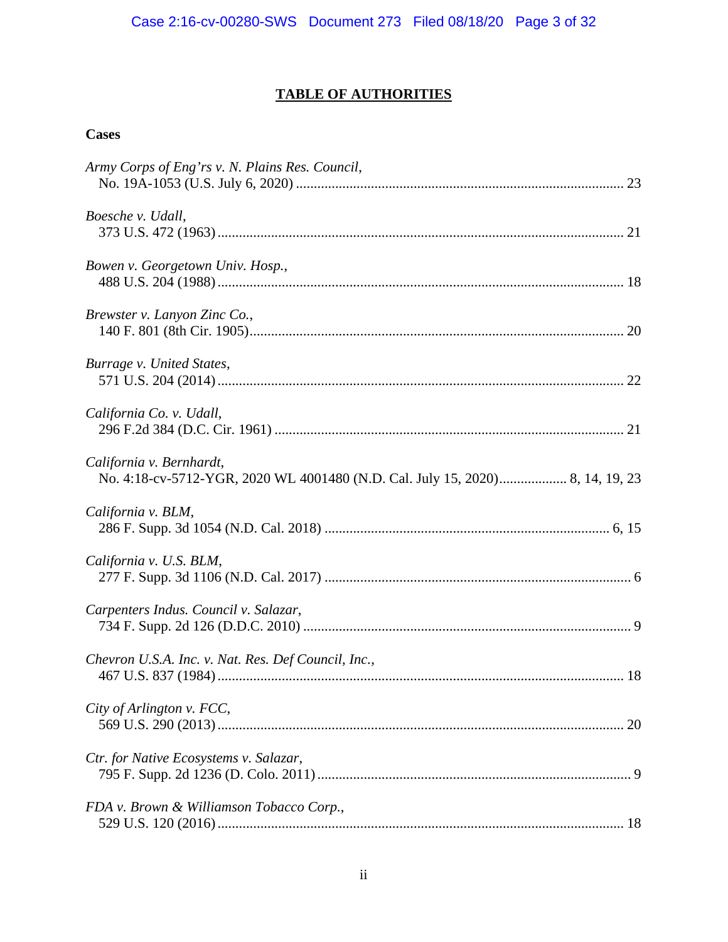# **TABLE OF AUTHORITIES**

## **Cases**

| Army Corps of Eng'rs v. N. Plains Res. Council,                                                           |    |
|-----------------------------------------------------------------------------------------------------------|----|
| Boesche v. Udall,                                                                                         |    |
| Bowen v. Georgetown Univ. Hosp.,                                                                          |    |
| Brewster v. Lanyon Zinc Co.,                                                                              |    |
| Burrage v. United States,                                                                                 |    |
| California Co. v. Udall,                                                                                  |    |
| California v. Bernhardt,<br>No. 4:18-cv-5712-YGR, 2020 WL 4001480 (N.D. Cal. July 15, 2020) 8, 14, 19, 23 |    |
| California v. BLM,                                                                                        |    |
| California v. U.S. BLM,                                                                                   |    |
| Carpenters Indus. Council v. Salazar,                                                                     |    |
| Chevron U.S.A. Inc. v. Nat. Res. Def Council, Inc.,                                                       |    |
| City of Arlington v. FCC,                                                                                 | 20 |
| Ctr. for Native Ecosystems v. Salazar,                                                                    |    |
| FDA v. Brown & Williamson Tobacco Corp.,                                                                  |    |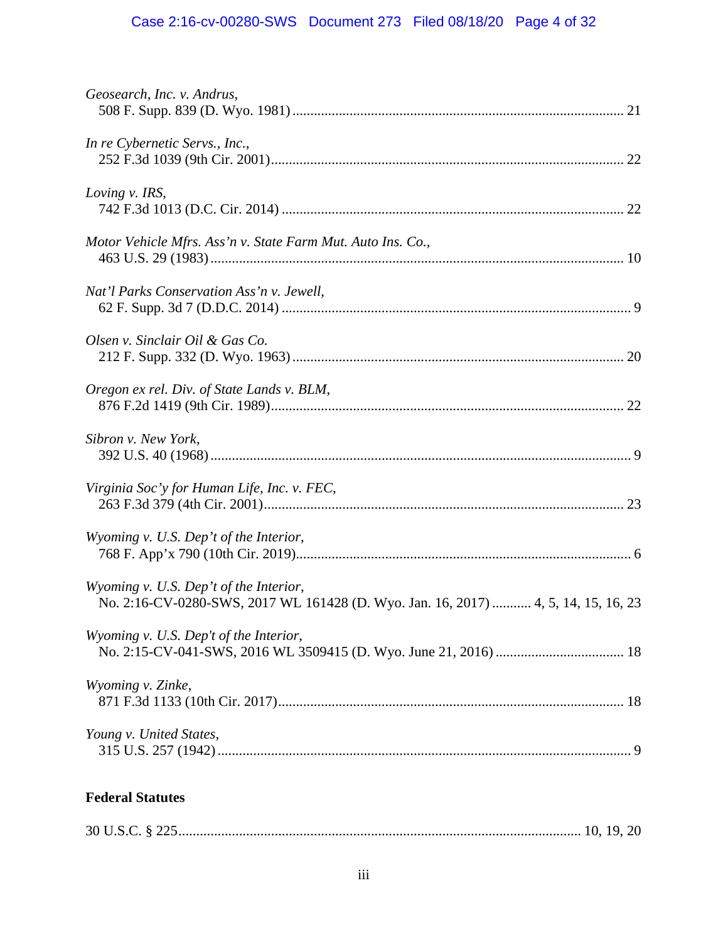# Case 2:16-cv-00280-SWS Document 273 Filed 08/18/20 Page 4 of 32

| Geosearch, Inc. v. Andrus,                                                                                                   |
|------------------------------------------------------------------------------------------------------------------------------|
| In re Cybernetic Servs., Inc.,                                                                                               |
| Loving v. IRS,                                                                                                               |
| Motor Vehicle Mfrs. Ass'n v. State Farm Mut. Auto Ins. Co.,                                                                  |
| Nat'l Parks Conservation Ass'n v. Jewell,                                                                                    |
| Olsen v. Sinclair Oil & Gas Co.                                                                                              |
| Oregon ex rel. Div. of State Lands v. BLM,                                                                                   |
| Sibron v. New York,                                                                                                          |
| Virginia Soc'y for Human Life, Inc. v. FEC,                                                                                  |
| Wyoming v. U.S. Dep't of the Interior,                                                                                       |
| Wyoming v. U.S. Dep't of the Interior,<br>No. 2:16-CV-0280-SWS, 2017 WL 161428 (D. Wyo. Jan. 16, 2017)  4, 5, 14, 15, 16, 23 |
| Wyoming v. U.S. Dep't of the Interior,                                                                                       |
| Wyoming v. Zinke,                                                                                                            |
| Young v. United States,                                                                                                      |
| <b>Federal Statutes</b>                                                                                                      |
|                                                                                                                              |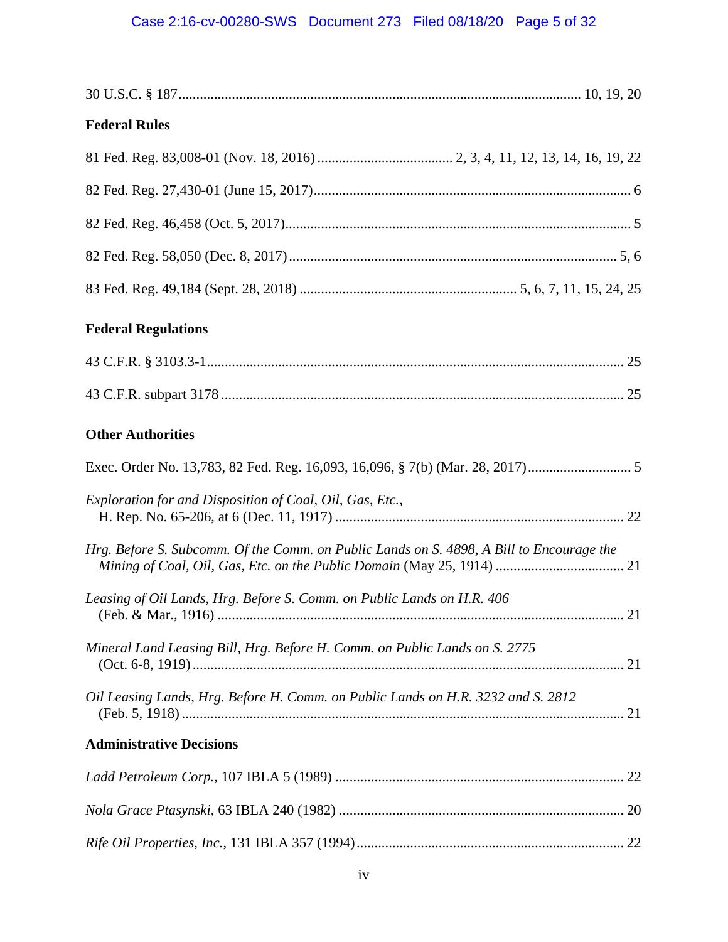# Case 2:16-cv-00280-SWS Document 273 Filed 08/18/20 Page 5 of 32

| <b>Federal Rules</b>                                                                     |  |
|------------------------------------------------------------------------------------------|--|
|                                                                                          |  |
|                                                                                          |  |
|                                                                                          |  |
|                                                                                          |  |
|                                                                                          |  |
| <b>Federal Regulations</b>                                                               |  |
|                                                                                          |  |
|                                                                                          |  |
| <b>Other Authorities</b>                                                                 |  |
| Exec. Order No. 13,783, 82 Fed. Reg. 16,093, 16,096, § 7(b) (Mar. 28, 2017)              |  |
| Exploration for and Disposition of Coal, Oil, Gas, Etc.,                                 |  |
| Hrg. Before S. Subcomm. Of the Comm. on Public Lands on S. 4898, A Bill to Encourage the |  |
| Leasing of Oil Lands, Hrg. Before S. Comm. on Public Lands on H.R. 406                   |  |
| Mineral Land Leasing Bill, Hrg. Before H. Comm. on Public Lands on S. 2775               |  |
| Oil Leasing Lands, Hrg. Before H. Comm. on Public Lands on H.R. 3232 and S. 2812         |  |
| <b>Administrative Decisions</b>                                                          |  |
|                                                                                          |  |
|                                                                                          |  |
|                                                                                          |  |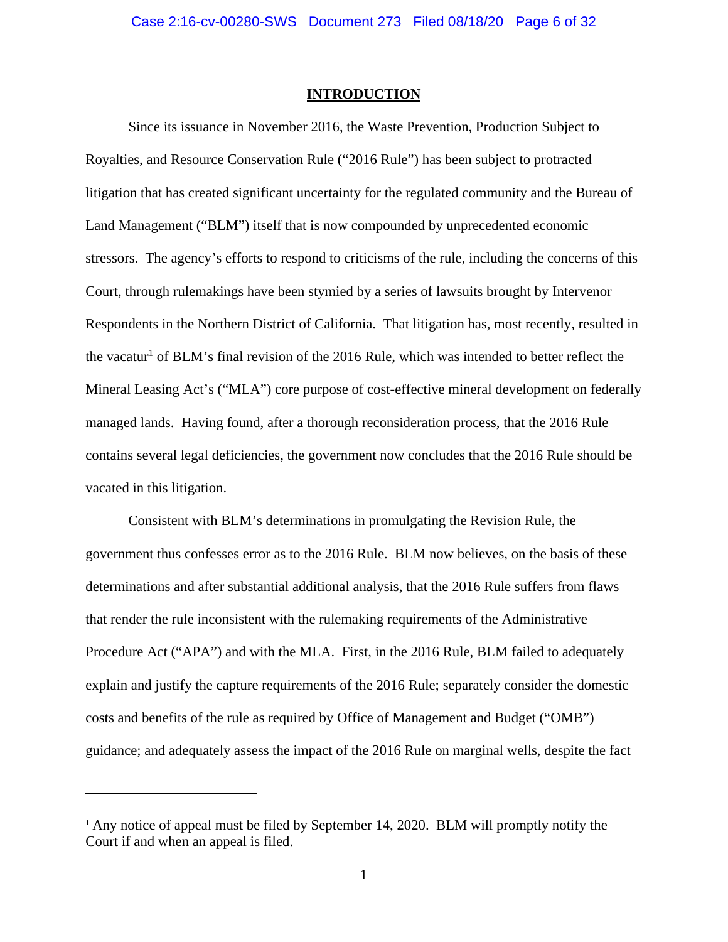#### **INTRODUCTION**

 Since its issuance in November 2016, the Waste Prevention, Production Subject to Royalties, and Resource Conservation Rule ("2016 Rule") has been subject to protracted litigation that has created significant uncertainty for the regulated community and the Bureau of Land Management ("BLM") itself that is now compounded by unprecedented economic stressors. The agency's efforts to respond to criticisms of the rule, including the concerns of this Court, through rulemakings have been stymied by a series of lawsuits brought by Intervenor Respondents in the Northern District of California. That litigation has, most recently, resulted in the vacatur<sup>1</sup> of BLM's final revision of the 2016 Rule, which was intended to better reflect the Mineral Leasing Act's ("MLA") core purpose of cost-effective mineral development on federally managed lands. Having found, after a thorough reconsideration process, that the 2016 Rule contains several legal deficiencies, the government now concludes that the 2016 Rule should be vacated in this litigation.

Consistent with BLM's determinations in promulgating the Revision Rule, the government thus confesses error as to the 2016 Rule. BLM now believes, on the basis of these determinations and after substantial additional analysis, that the 2016 Rule suffers from flaws that render the rule inconsistent with the rulemaking requirements of the Administrative Procedure Act ("APA") and with the MLA. First, in the 2016 Rule, BLM failed to adequately explain and justify the capture requirements of the 2016 Rule; separately consider the domestic costs and benefits of the rule as required by Office of Management and Budget ("OMB") guidance; and adequately assess the impact of the 2016 Rule on marginal wells, despite the fact

<sup>&</sup>lt;sup>1</sup> Any notice of appeal must be filed by September 14, 2020. BLM will promptly notify the Court if and when an appeal is filed.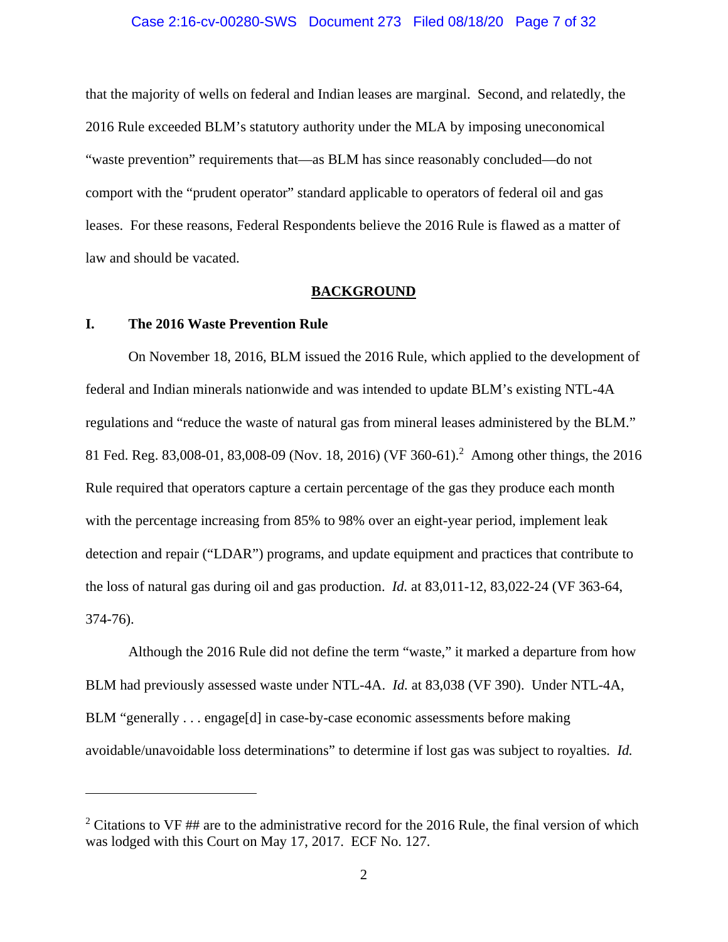#### Case 2:16-cv-00280-SWS Document 273 Filed 08/18/20 Page 7 of 32

that the majority of wells on federal and Indian leases are marginal. Second, and relatedly, the 2016 Rule exceeded BLM's statutory authority under the MLA by imposing uneconomical "waste prevention" requirements that—as BLM has since reasonably concluded—do not comport with the "prudent operator" standard applicable to operators of federal oil and gas leases. For these reasons, Federal Respondents believe the 2016 Rule is flawed as a matter of law and should be vacated.

#### **BACKGROUND**

### **I. The 2016 Waste Prevention Rule**

 $\overline{a}$ 

On November 18, 2016, BLM issued the 2016 Rule, which applied to the development of federal and Indian minerals nationwide and was intended to update BLM's existing NTL-4A regulations and "reduce the waste of natural gas from mineral leases administered by the BLM." 81 Fed. Reg. 83,008-01, 83,008-09 (Nov. 18, 2016) (VF 360-61).<sup>2</sup> Among other things, the 2016 Rule required that operators capture a certain percentage of the gas they produce each month with the percentage increasing from 85% to 98% over an eight-year period, implement leak detection and repair ("LDAR") programs, and update equipment and practices that contribute to the loss of natural gas during oil and gas production. *Id.* at 83,011-12, 83,022-24 (VF 363-64, 374-76).

Although the 2016 Rule did not define the term "waste," it marked a departure from how BLM had previously assessed waste under NTL-4A. *Id.* at 83,038 (VF 390). Under NTL-4A, BLM "generally . . . engage[d] in case-by-case economic assessments before making avoidable/unavoidable loss determinations" to determine if lost gas was subject to royalties. *Id.* 

<sup>&</sup>lt;sup>2</sup> Citations to VF ## are to the administrative record for the 2016 Rule, the final version of which was lodged with this Court on May 17, 2017. ECF No. 127.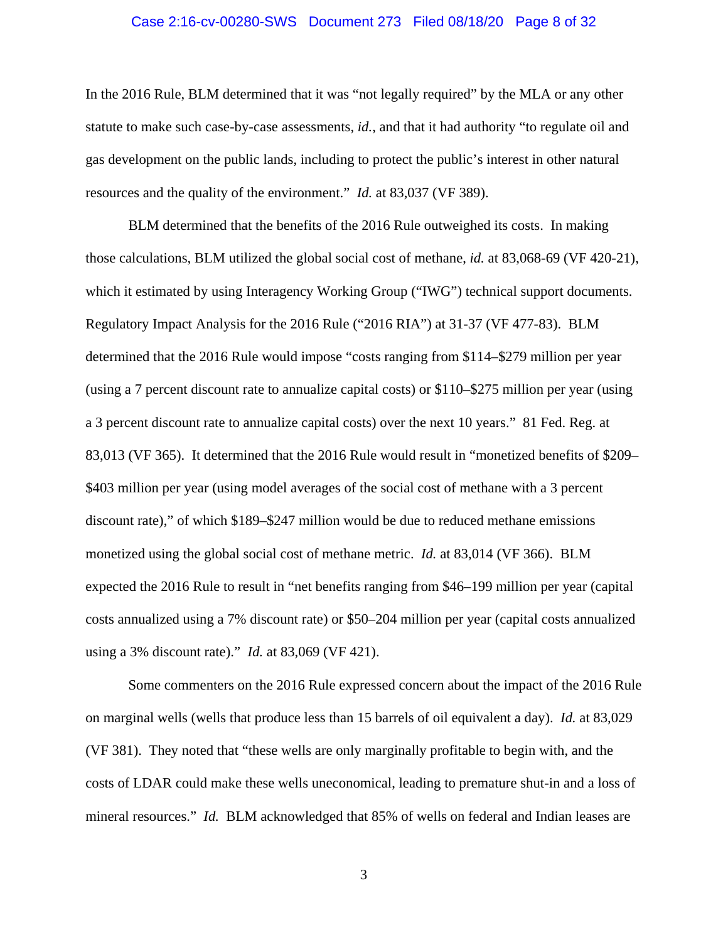#### Case 2:16-cv-00280-SWS Document 273 Filed 08/18/20 Page 8 of 32

In the 2016 Rule, BLM determined that it was "not legally required" by the MLA or any other statute to make such case-by-case assessments, *id.*, and that it had authority "to regulate oil and gas development on the public lands, including to protect the public's interest in other natural resources and the quality of the environment." *Id.* at 83,037 (VF 389).

BLM determined that the benefits of the 2016 Rule outweighed its costs. In making those calculations, BLM utilized the global social cost of methane, *id.* at 83,068-69 (VF 420-21), which it estimated by using Interagency Working Group ("IWG") technical support documents. Regulatory Impact Analysis for the 2016 Rule ("2016 RIA") at 31-37 (VF 477-83). BLM determined that the 2016 Rule would impose "costs ranging from \$114–\$279 million per year (using a 7 percent discount rate to annualize capital costs) or \$110–\$275 million per year (using a 3 percent discount rate to annualize capital costs) over the next 10 years." 81 Fed. Reg. at 83,013 (VF 365). It determined that the 2016 Rule would result in "monetized benefits of \$209– \$403 million per year (using model averages of the social cost of methane with a 3 percent discount rate)," of which \$189–\$247 million would be due to reduced methane emissions monetized using the global social cost of methane metric. *Id.* at 83,014 (VF 366). BLM expected the 2016 Rule to result in "net benefits ranging from \$46–199 million per year (capital costs annualized using a 7% discount rate) or \$50–204 million per year (capital costs annualized using a 3% discount rate)." *Id.* at 83,069 (VF 421).

Some commenters on the 2016 Rule expressed concern about the impact of the 2016 Rule on marginal wells (wells that produce less than 15 barrels of oil equivalent a day). *Id.* at 83,029 (VF 381). They noted that "these wells are only marginally profitable to begin with, and the costs of LDAR could make these wells uneconomical, leading to premature shut-in and a loss of mineral resources." *Id.* BLM acknowledged that 85% of wells on federal and Indian leases are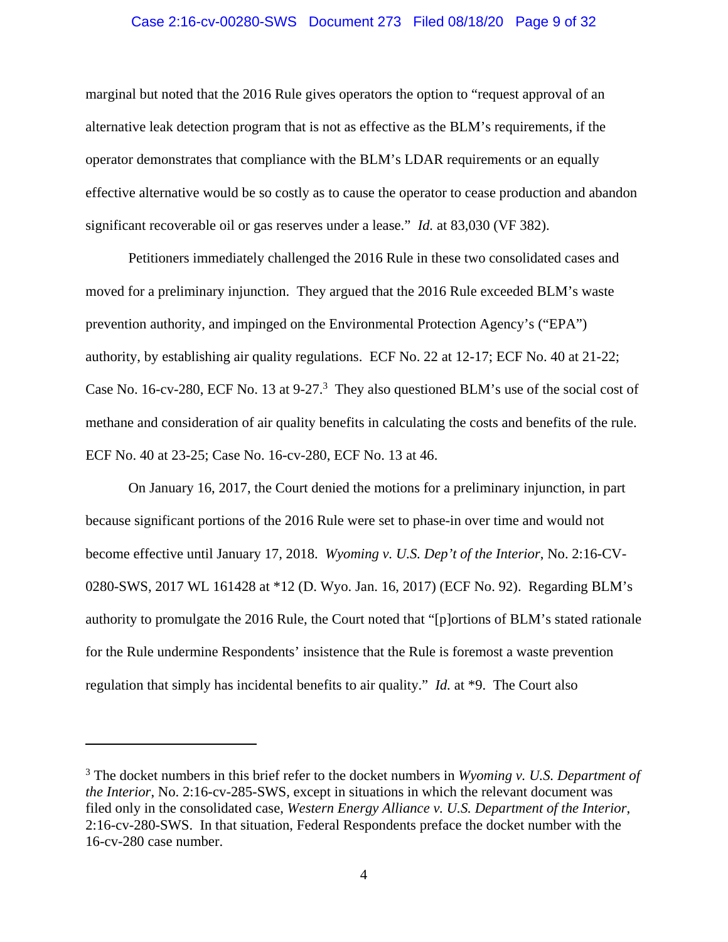#### Case 2:16-cv-00280-SWS Document 273 Filed 08/18/20 Page 9 of 32

marginal but noted that the 2016 Rule gives operators the option to "request approval of an alternative leak detection program that is not as effective as the BLM's requirements, if the operator demonstrates that compliance with the BLM's LDAR requirements or an equally effective alternative would be so costly as to cause the operator to cease production and abandon significant recoverable oil or gas reserves under a lease." *Id.* at 83,030 (VF 382).

Petitioners immediately challenged the 2016 Rule in these two consolidated cases and moved for a preliminary injunction. They argued that the 2016 Rule exceeded BLM's waste prevention authority, and impinged on the Environmental Protection Agency's ("EPA") authority, by establishing air quality regulations. ECF No. 22 at 12-17; ECF No. 40 at 21-22; Case No. 16-cv-280, ECF No. 13 at 9-27.<sup>3</sup> They also questioned BLM's use of the social cost of methane and consideration of air quality benefits in calculating the costs and benefits of the rule. ECF No. 40 at 23-25; Case No. 16-cv-280, ECF No. 13 at 46.

On January 16, 2017, the Court denied the motions for a preliminary injunction, in part because significant portions of the 2016 Rule were set to phase-in over time and would not become effective until January 17, 2018. *Wyoming v. U.S. Dep't of the Interior*, No. 2:16-CV-0280-SWS, 2017 WL 161428 at \*12 (D. Wyo. Jan. 16, 2017) (ECF No. 92). Regarding BLM's authority to promulgate the 2016 Rule, the Court noted that "[p]ortions of BLM's stated rationale for the Rule undermine Respondents' insistence that the Rule is foremost a waste prevention regulation that simply has incidental benefits to air quality." *Id.* at \*9. The Court also

<sup>3</sup> The docket numbers in this brief refer to the docket numbers in *Wyoming v. U.S. Department of the Interior*, No. 2:16-cv-285-SWS, except in situations in which the relevant document was filed only in the consolidated case, *Western Energy Alliance v. U.S. Department of the Interior*, 2:16-cv-280-SWS. In that situation, Federal Respondents preface the docket number with the 16-cv-280 case number.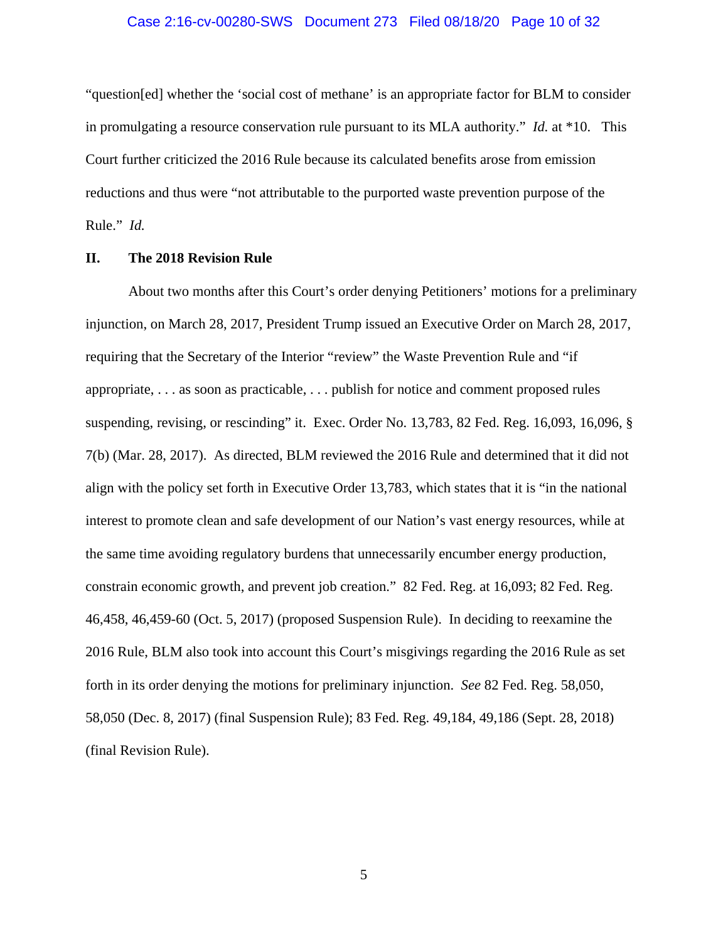#### Case 2:16-cv-00280-SWS Document 273 Filed 08/18/20 Page 10 of 32

"question[ed] whether the 'social cost of methane' is an appropriate factor for BLM to consider in promulgating a resource conservation rule pursuant to its MLA authority." *Id.* at \*10. This Court further criticized the 2016 Rule because its calculated benefits arose from emission reductions and thus were "not attributable to the purported waste prevention purpose of the Rule." *Id.* 

#### **II. The 2018 Revision Rule**

About two months after this Court's order denying Petitioners' motions for a preliminary injunction, on March 28, 2017, President Trump issued an Executive Order on March 28, 2017, requiring that the Secretary of the Interior "review" the Waste Prevention Rule and "if appropriate, . . . as soon as practicable, . . . publish for notice and comment proposed rules suspending, revising, or rescinding" it. Exec. Order No. 13,783, 82 Fed. Reg. 16,093, 16,096, § 7(b) (Mar. 28, 2017). As directed, BLM reviewed the 2016 Rule and determined that it did not align with the policy set forth in Executive Order 13,783, which states that it is "in the national interest to promote clean and safe development of our Nation's vast energy resources, while at the same time avoiding regulatory burdens that unnecessarily encumber energy production, constrain economic growth, and prevent job creation." 82 Fed. Reg. at 16,093; 82 Fed. Reg. 46,458, 46,459-60 (Oct. 5, 2017) (proposed Suspension Rule). In deciding to reexamine the 2016 Rule, BLM also took into account this Court's misgivings regarding the 2016 Rule as set forth in its order denying the motions for preliminary injunction. *See* 82 Fed. Reg. 58,050, 58,050 (Dec. 8, 2017) (final Suspension Rule); 83 Fed. Reg. 49,184, 49,186 (Sept. 28, 2018) (final Revision Rule).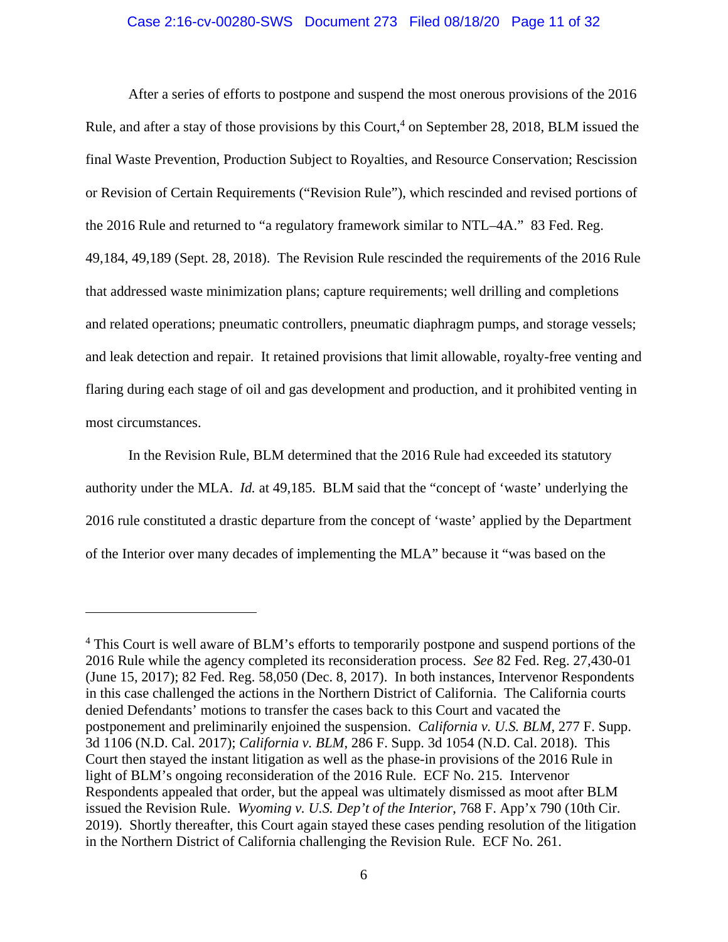#### Case 2:16-cv-00280-SWS Document 273 Filed 08/18/20 Page 11 of 32

After a series of efforts to postpone and suspend the most onerous provisions of the 2016 Rule, and after a stay of those provisions by this Court,<sup>4</sup> on September 28, 2018, BLM issued the final Waste Prevention, Production Subject to Royalties, and Resource Conservation; Rescission or Revision of Certain Requirements ("Revision Rule"), which rescinded and revised portions of the 2016 Rule and returned to "a regulatory framework similar to NTL–4A." 83 Fed. Reg. 49,184, 49,189 (Sept. 28, 2018). The Revision Rule rescinded the requirements of the 2016 Rule that addressed waste minimization plans; capture requirements; well drilling and completions and related operations; pneumatic controllers, pneumatic diaphragm pumps, and storage vessels; and leak detection and repair. It retained provisions that limit allowable, royalty-free venting and flaring during each stage of oil and gas development and production, and it prohibited venting in most circumstances.

In the Revision Rule, BLM determined that the 2016 Rule had exceeded its statutory authority under the MLA. *Id.* at 49,185. BLM said that the "concept of 'waste' underlying the 2016 rule constituted a drastic departure from the concept of 'waste' applied by the Department of the Interior over many decades of implementing the MLA" because it "was based on the

<sup>&</sup>lt;sup>4</sup> This Court is well aware of BLM's efforts to temporarily postpone and suspend portions of the 2016 Rule while the agency completed its reconsideration process. *See* 82 Fed. Reg. 27,430-01 (June 15, 2017); 82 Fed. Reg. 58,050 (Dec. 8, 2017). In both instances, Intervenor Respondents in this case challenged the actions in the Northern District of California. The California courts denied Defendants' motions to transfer the cases back to this Court and vacated the postponement and preliminarily enjoined the suspension. *California v. U.S. BLM*, 277 F. Supp. 3d 1106 (N.D. Cal. 2017); *California v. BLM*, 286 F. Supp. 3d 1054 (N.D. Cal. 2018). This Court then stayed the instant litigation as well as the phase-in provisions of the 2016 Rule in light of BLM's ongoing reconsideration of the 2016 Rule. ECF No. 215. Intervenor Respondents appealed that order, but the appeal was ultimately dismissed as moot after BLM issued the Revision Rule. *Wyoming v. U.S. Dep't of the Interior*, 768 F. App'x 790 (10th Cir. 2019). Shortly thereafter, this Court again stayed these cases pending resolution of the litigation in the Northern District of California challenging the Revision Rule. ECF No. 261.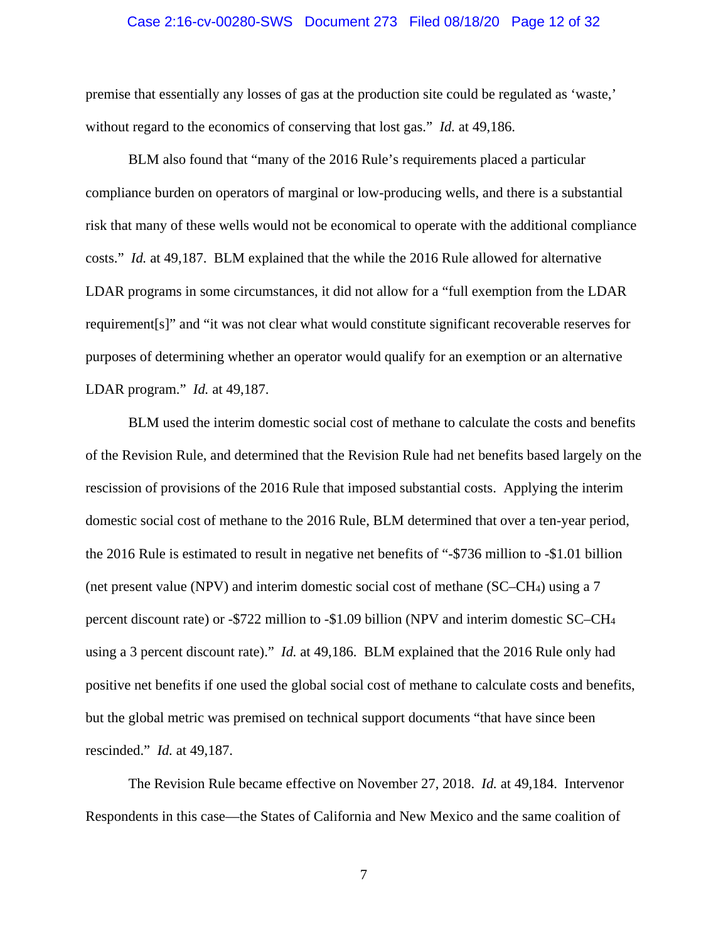#### Case 2:16-cv-00280-SWS Document 273 Filed 08/18/20 Page 12 of 32

premise that essentially any losses of gas at the production site could be regulated as 'waste,' without regard to the economics of conserving that lost gas." *Id.* at 49,186.

BLM also found that "many of the 2016 Rule's requirements placed a particular compliance burden on operators of marginal or low-producing wells, and there is a substantial risk that many of these wells would not be economical to operate with the additional compliance costs." *Id.* at 49,187. BLM explained that the while the 2016 Rule allowed for alternative LDAR programs in some circumstances, it did not allow for a "full exemption from the LDAR requirement[s]" and "it was not clear what would constitute significant recoverable reserves for purposes of determining whether an operator would qualify for an exemption or an alternative LDAR program." *Id.* at 49,187.

BLM used the interim domestic social cost of methane to calculate the costs and benefits of the Revision Rule, and determined that the Revision Rule had net benefits based largely on the rescission of provisions of the 2016 Rule that imposed substantial costs. Applying the interim domestic social cost of methane to the 2016 Rule, BLM determined that over a ten-year period, the 2016 Rule is estimated to result in negative net benefits of "-\$736 million to -\$1.01 billion (net present value (NPV) and interim domestic social cost of methane (SC–CH4) using a 7 percent discount rate) or -\$722 million to -\$1.09 billion (NPV and interim domestic SC–CH4 using a 3 percent discount rate)." *Id.* at 49,186. BLM explained that the 2016 Rule only had positive net benefits if one used the global social cost of methane to calculate costs and benefits, but the global metric was premised on technical support documents "that have since been rescinded." *Id.* at 49,187.

The Revision Rule became effective on November 27, 2018. *Id.* at 49,184. Intervenor Respondents in this case—the States of California and New Mexico and the same coalition of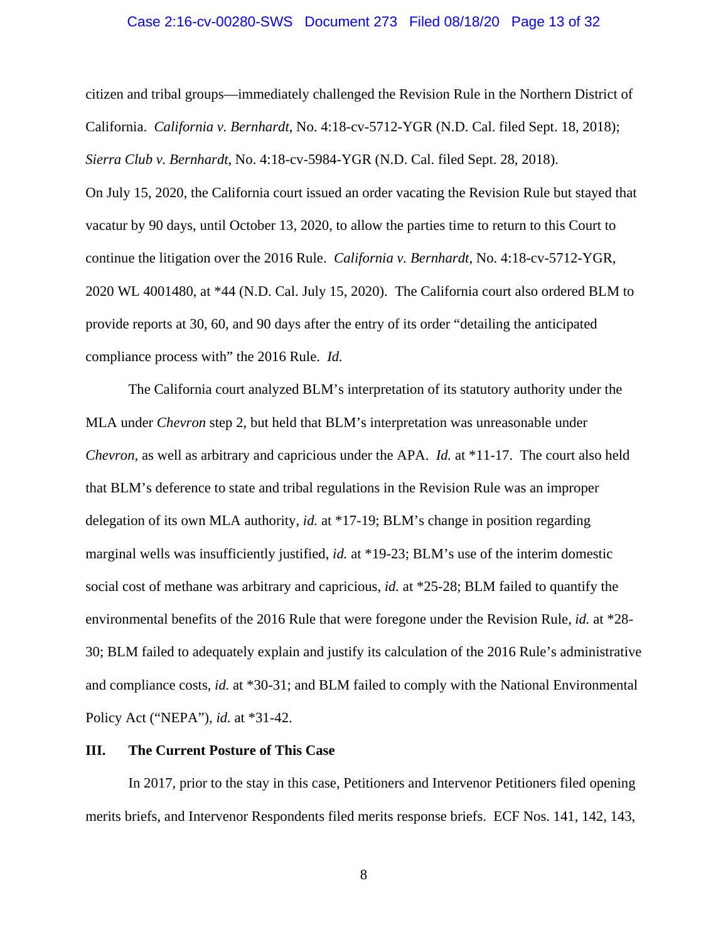#### Case 2:16-cv-00280-SWS Document 273 Filed 08/18/20 Page 13 of 32

citizen and tribal groups—immediately challenged the Revision Rule in the Northern District of California. *California v. Bernhardt*, No. 4:18-cv-5712-YGR (N.D. Cal. filed Sept. 18, 2018); *Sierra Club v. Bernhardt*, No. 4:18-cv-5984-YGR (N.D. Cal. filed Sept. 28, 2018).

On July 15, 2020, the California court issued an order vacating the Revision Rule but stayed that vacatur by 90 days, until October 13, 2020, to allow the parties time to return to this Court to continue the litigation over the 2016 Rule. *California v. Bernhardt*, No. 4:18-cv-5712-YGR, 2020 WL 4001480, at \*44 (N.D. Cal. July 15, 2020). The California court also ordered BLM to provide reports at 30, 60, and 90 days after the entry of its order "detailing the anticipated compliance process with" the 2016 Rule. *Id.* 

The California court analyzed BLM's interpretation of its statutory authority under the MLA under *Chevron* step 2, but held that BLM's interpretation was unreasonable under *Chevron*, as well as arbitrary and capricious under the APA. *Id.* at \*11-17. The court also held that BLM's deference to state and tribal regulations in the Revision Rule was an improper delegation of its own MLA authority, *id.* at \*17-19; BLM's change in position regarding marginal wells was insufficiently justified, *id.* at \*19-23; BLM's use of the interim domestic social cost of methane was arbitrary and capricious, *id.* at \*25-28; BLM failed to quantify the environmental benefits of the 2016 Rule that were foregone under the Revision Rule, *id.* at \*28- 30; BLM failed to adequately explain and justify its calculation of the 2016 Rule's administrative and compliance costs, *id.* at \*30-31; and BLM failed to comply with the National Environmental Policy Act ("NEPA"), *id.* at \*31-42.

#### **III. The Current Posture of This Case**

In 2017, prior to the stay in this case, Petitioners and Intervenor Petitioners filed opening merits briefs, and Intervenor Respondents filed merits response briefs. ECF Nos. 141, 142, 143,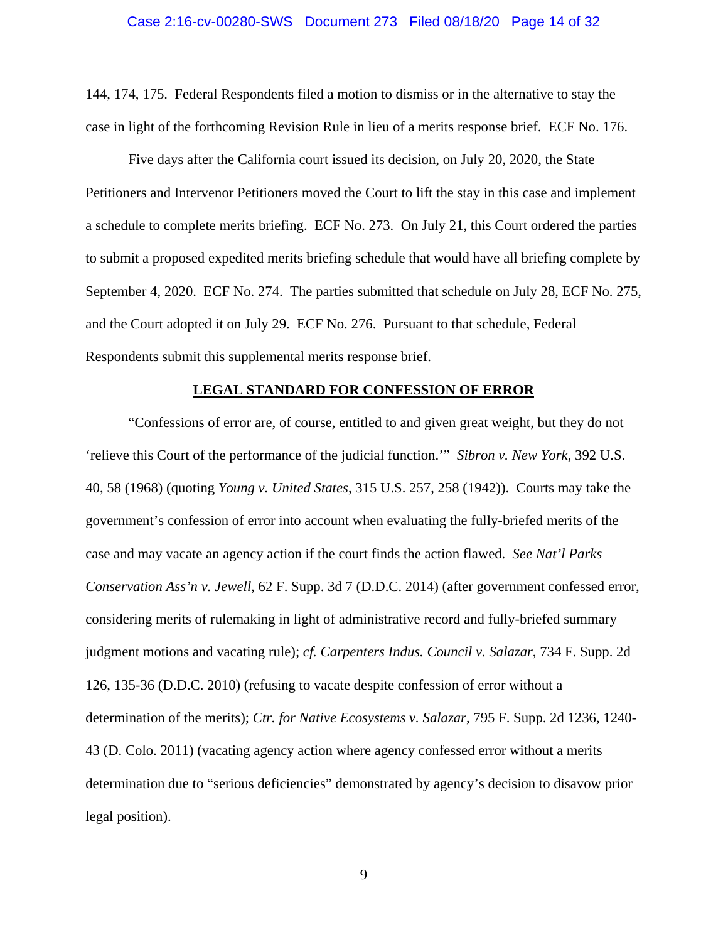144, 174, 175. Federal Respondents filed a motion to dismiss or in the alternative to stay the case in light of the forthcoming Revision Rule in lieu of a merits response brief. ECF No. 176.

Five days after the California court issued its decision, on July 20, 2020, the State Petitioners and Intervenor Petitioners moved the Court to lift the stay in this case and implement a schedule to complete merits briefing. ECF No. 273. On July 21, this Court ordered the parties to submit a proposed expedited merits briefing schedule that would have all briefing complete by September 4, 2020. ECF No. 274. The parties submitted that schedule on July 28, ECF No. 275, and the Court adopted it on July 29. ECF No. 276. Pursuant to that schedule, Federal Respondents submit this supplemental merits response brief.

#### **LEGAL STANDARD FOR CONFESSION OF ERROR**

 "Confessions of error are, of course, entitled to and given great weight, but they do not 'relieve this Court of the performance of the judicial function.'" *Sibron v. New York*, 392 U.S. 40, 58 (1968) (quoting *Young v. United States*, 315 U.S. 257, 258 (1942)). Courts may take the government's confession of error into account when evaluating the fully-briefed merits of the case and may vacate an agency action if the court finds the action flawed. *See Nat'l Parks Conservation Ass'n v. Jewell*, 62 F. Supp. 3d 7 (D.D.C. 2014) (after government confessed error, considering merits of rulemaking in light of administrative record and fully-briefed summary judgment motions and vacating rule); *cf. Carpenters Indus. Council v. Salazar*, 734 F. Supp. 2d 126, 135-36 (D.D.C. 2010) (refusing to vacate despite confession of error without a determination of the merits); *Ctr. for Native Ecosystems v. Salazar*, 795 F. Supp. 2d 1236, 1240- 43 (D. Colo. 2011) (vacating agency action where agency confessed error without a merits determination due to "serious deficiencies" demonstrated by agency's decision to disavow prior legal position).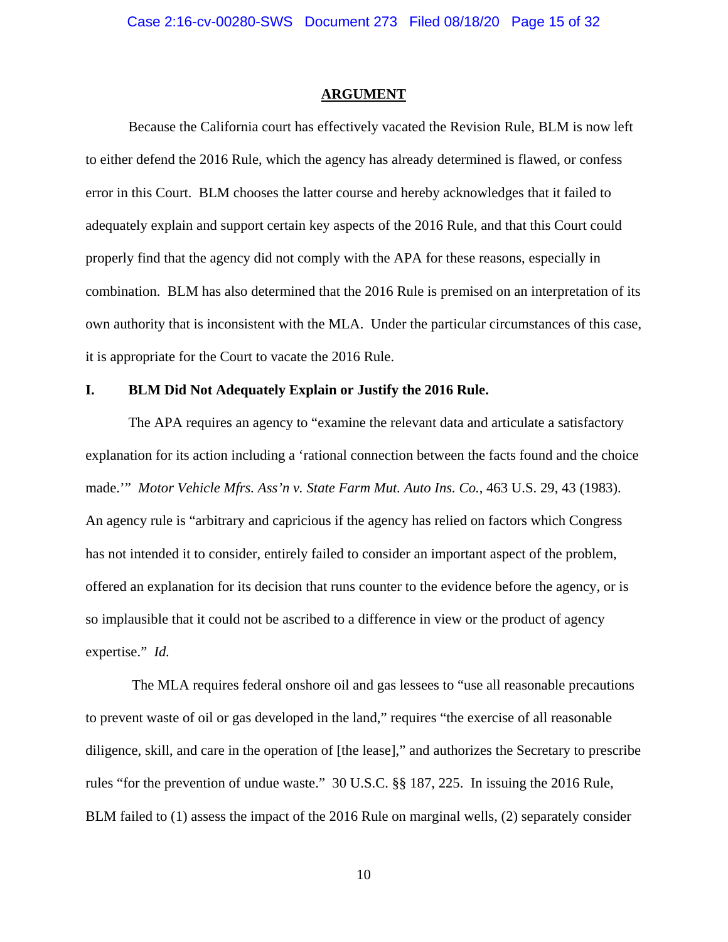#### **ARGUMENT**

 Because the California court has effectively vacated the Revision Rule, BLM is now left to either defend the 2016 Rule, which the agency has already determined is flawed, or confess error in this Court. BLM chooses the latter course and hereby acknowledges that it failed to adequately explain and support certain key aspects of the 2016 Rule, and that this Court could properly find that the agency did not comply with the APA for these reasons, especially in combination. BLM has also determined that the 2016 Rule is premised on an interpretation of its own authority that is inconsistent with the MLA. Under the particular circumstances of this case, it is appropriate for the Court to vacate the 2016 Rule.

### **I. BLM Did Not Adequately Explain or Justify the 2016 Rule.**

The APA requires an agency to "examine the relevant data and articulate a satisfactory explanation for its action including a 'rational connection between the facts found and the choice made.'" *Motor Vehicle Mfrs. Ass'n v. State Farm Mut. Auto Ins. Co.*, 463 U.S. 29, 43 (1983). An agency rule is "arbitrary and capricious if the agency has relied on factors which Congress has not intended it to consider, entirely failed to consider an important aspect of the problem, offered an explanation for its decision that runs counter to the evidence before the agency, or is so implausible that it could not be ascribed to a difference in view or the product of agency expertise." *Id.* 

The MLA requires federal onshore oil and gas lessees to "use all reasonable precautions to prevent waste of oil or gas developed in the land," requires "the exercise of all reasonable diligence, skill, and care in the operation of [the lease]," and authorizes the Secretary to prescribe rules "for the prevention of undue waste." 30 U.S.C. §§ 187, 225. In issuing the 2016 Rule, BLM failed to (1) assess the impact of the 2016 Rule on marginal wells, (2) separately consider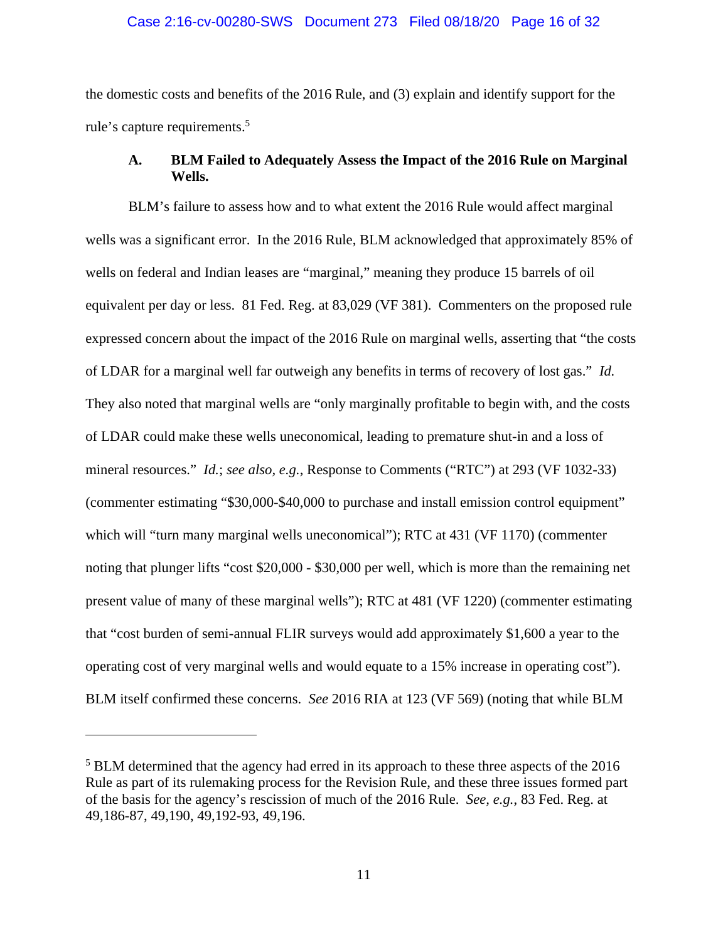#### Case 2:16-cv-00280-SWS Document 273 Filed 08/18/20 Page 16 of 32

the domestic costs and benefits of the 2016 Rule, and (3) explain and identify support for the rule's capture requirements.5

### **A. BLM Failed to Adequately Assess the Impact of the 2016 Rule on Marginal Wells.**

BLM's failure to assess how and to what extent the 2016 Rule would affect marginal wells was a significant error. In the 2016 Rule, BLM acknowledged that approximately 85% of wells on federal and Indian leases are "marginal," meaning they produce 15 barrels of oil equivalent per day or less. 81 Fed. Reg. at 83,029 (VF 381). Commenters on the proposed rule expressed concern about the impact of the 2016 Rule on marginal wells, asserting that "the costs of LDAR for a marginal well far outweigh any benefits in terms of recovery of lost gas." *Id.* They also noted that marginal wells are "only marginally profitable to begin with, and the costs of LDAR could make these wells uneconomical, leading to premature shut-in and a loss of mineral resources." *Id.*; *see also, e.g.*, Response to Comments ("RTC") at 293 (VF 1032-33) (commenter estimating "\$30,000-\$40,000 to purchase and install emission control equipment" which will "turn many marginal wells uneconomical"); RTC at 431 (VF 1170) (commenter noting that plunger lifts "cost \$20,000 - \$30,000 per well, which is more than the remaining net present value of many of these marginal wells"); RTC at 481 (VF 1220) (commenter estimating that "cost burden of semi-annual FLIR surveys would add approximately \$1,600 a year to the operating cost of very marginal wells and would equate to a 15% increase in operating cost"). BLM itself confirmed these concerns. *See* 2016 RIA at 123 (VF 569) (noting that while BLM

<sup>&</sup>lt;sup>5</sup> BLM determined that the agency had erred in its approach to these three aspects of the 2016 Rule as part of its rulemaking process for the Revision Rule, and these three issues formed part of the basis for the agency's rescission of much of the 2016 Rule. *See, e.g.*, 83 Fed. Reg. at 49,186-87, 49,190, 49,192-93, 49,196.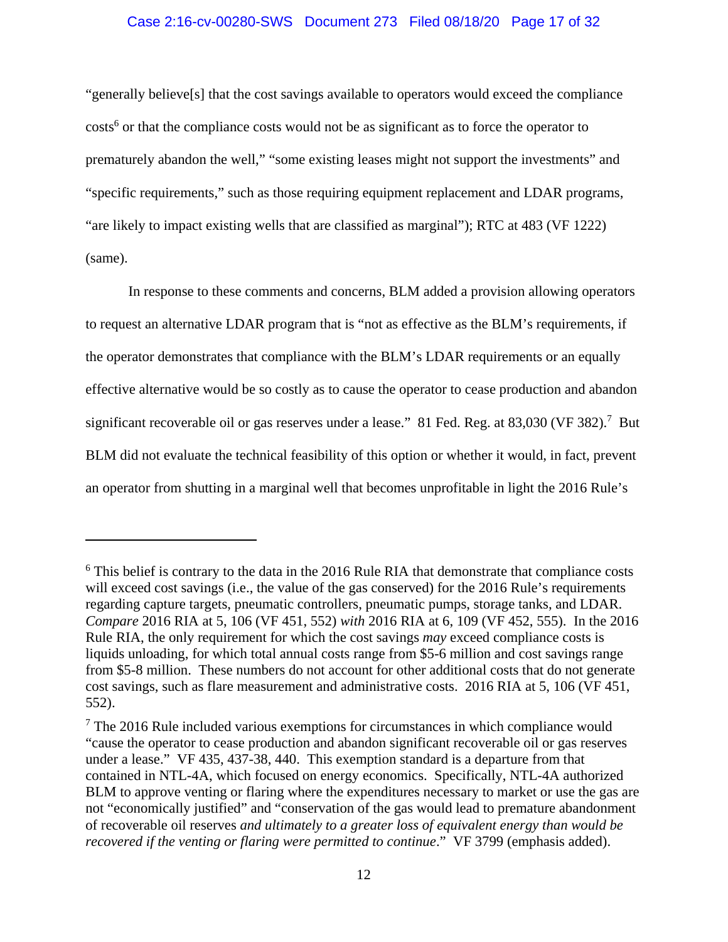#### Case 2:16-cv-00280-SWS Document 273 Filed 08/18/20 Page 17 of 32

"generally believe[s] that the cost savings available to operators would exceed the compliance  $costs<sup>6</sup>$  or that the compliance costs would not be as significant as to force the operator to prematurely abandon the well," "some existing leases might not support the investments" and "specific requirements," such as those requiring equipment replacement and LDAR programs, "are likely to impact existing wells that are classified as marginal"); RTC at 483 (VF 1222) (same).

In response to these comments and concerns, BLM added a provision allowing operators to request an alternative LDAR program that is "not as effective as the BLM's requirements, if the operator demonstrates that compliance with the BLM's LDAR requirements or an equally effective alternative would be so costly as to cause the operator to cease production and abandon significant recoverable oil or gas reserves under a lease." 81 Fed. Reg. at 83,030 (VF 382).<sup>7</sup> But BLM did not evaluate the technical feasibility of this option or whether it would, in fact, prevent an operator from shutting in a marginal well that becomes unprofitable in light the 2016 Rule's

<sup>&</sup>lt;sup>6</sup> This belief is contrary to the data in the 2016 Rule RIA that demonstrate that compliance costs will exceed cost savings (i.e., the value of the gas conserved) for the 2016 Rule's requirements regarding capture targets, pneumatic controllers, pneumatic pumps, storage tanks, and LDAR. *Compare* 2016 RIA at 5, 106 (VF 451, 552) *with* 2016 RIA at 6, 109 (VF 452, 555). In the 2016 Rule RIA, the only requirement for which the cost savings *may* exceed compliance costs is liquids unloading, for which total annual costs range from \$5-6 million and cost savings range from \$5-8 million. These numbers do not account for other additional costs that do not generate cost savings, such as flare measurement and administrative costs. 2016 RIA at 5, 106 (VF 451, 552).

 $7$  The 2016 Rule included various exemptions for circumstances in which compliance would "cause the operator to cease production and abandon significant recoverable oil or gas reserves under a lease." VF 435, 437-38, 440. This exemption standard is a departure from that contained in NTL-4A, which focused on energy economics. Specifically, NTL-4A authorized BLM to approve venting or flaring where the expenditures necessary to market or use the gas are not "economically justified" and "conservation of the gas would lead to premature abandonment of recoverable oil reserves *and ultimately to a greater loss of equivalent energy than would be recovered if the venting or flaring were permitted to continue.*" VF 3799 (emphasis added).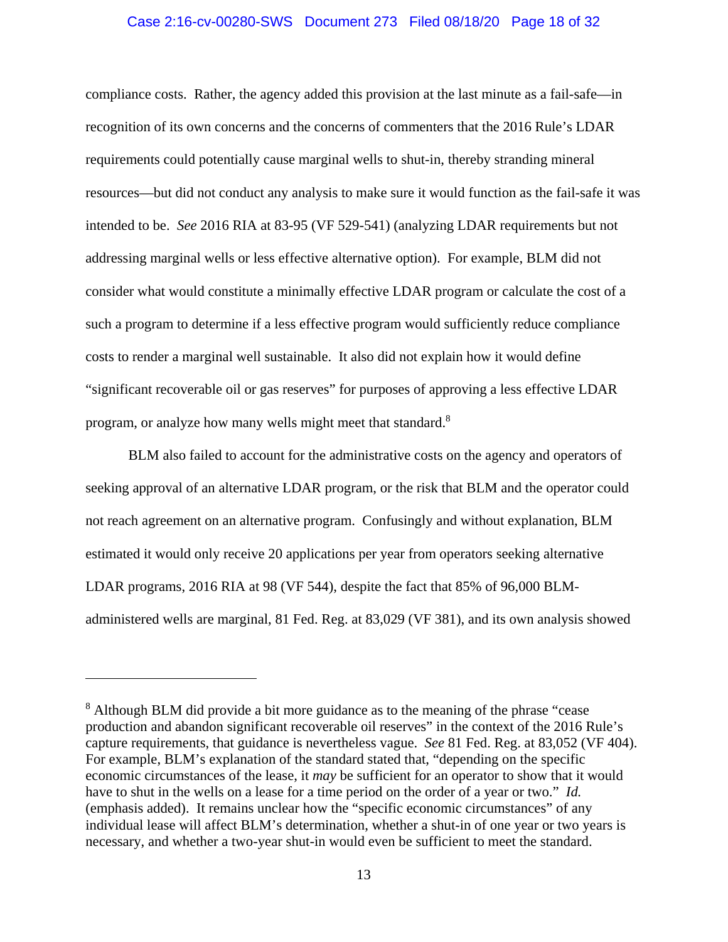#### Case 2:16-cv-00280-SWS Document 273 Filed 08/18/20 Page 18 of 32

compliance costs. Rather, the agency added this provision at the last minute as a fail-safe—in recognition of its own concerns and the concerns of commenters that the 2016 Rule's LDAR requirements could potentially cause marginal wells to shut-in, thereby stranding mineral resources—but did not conduct any analysis to make sure it would function as the fail-safe it was intended to be. *See* 2016 RIA at 83-95 (VF 529-541) (analyzing LDAR requirements but not addressing marginal wells or less effective alternative option). For example, BLM did not consider what would constitute a minimally effective LDAR program or calculate the cost of a such a program to determine if a less effective program would sufficiently reduce compliance costs to render a marginal well sustainable. It also did not explain how it would define "significant recoverable oil or gas reserves" for purposes of approving a less effective LDAR program, or analyze how many wells might meet that standard.<sup>8</sup>

BLM also failed to account for the administrative costs on the agency and operators of seeking approval of an alternative LDAR program, or the risk that BLM and the operator could not reach agreement on an alternative program. Confusingly and without explanation, BLM estimated it would only receive 20 applications per year from operators seeking alternative LDAR programs, 2016 RIA at 98 (VF 544), despite the fact that 85% of 96,000 BLMadministered wells are marginal, 81 Fed. Reg. at 83,029 (VF 381), and its own analysis showed

<sup>&</sup>lt;sup>8</sup> Although BLM did provide a bit more guidance as to the meaning of the phrase "cease" production and abandon significant recoverable oil reserves" in the context of the 2016 Rule's capture requirements, that guidance is nevertheless vague. *See* 81 Fed. Reg. at 83,052 (VF 404). For example, BLM's explanation of the standard stated that, "depending on the specific economic circumstances of the lease, it *may* be sufficient for an operator to show that it would have to shut in the wells on a lease for a time period on the order of a year or two." *Id.*  (emphasis added). It remains unclear how the "specific economic circumstances" of any individual lease will affect BLM's determination, whether a shut-in of one year or two years is necessary, and whether a two-year shut-in would even be sufficient to meet the standard.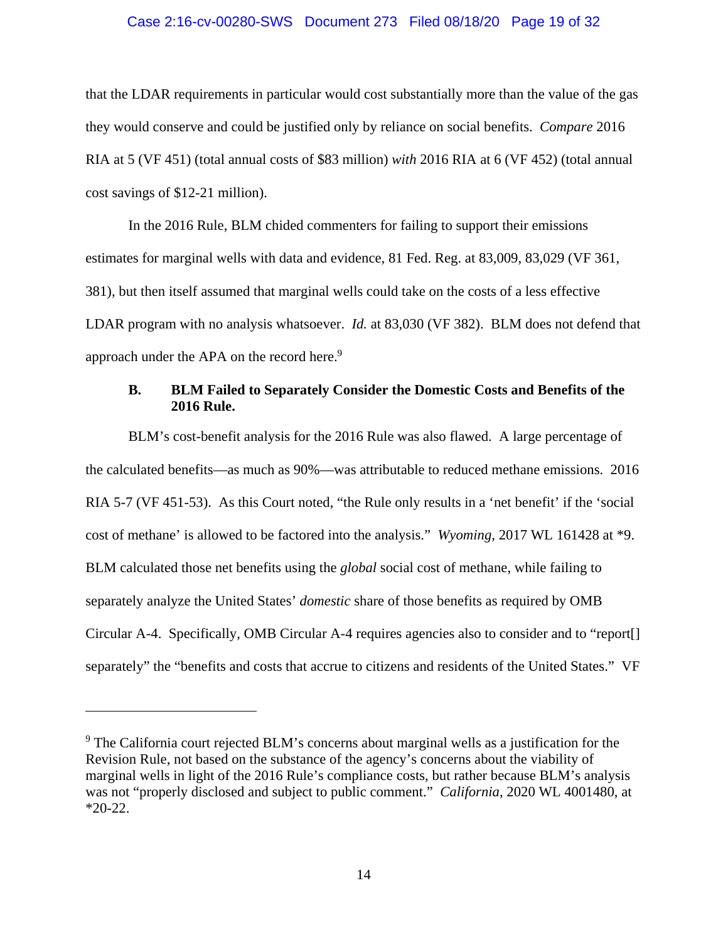#### Case 2:16-cv-00280-SWS Document 273 Filed 08/18/20 Page 19 of 32

that the LDAR requirements in particular would cost substantially more than the value of the gas they would conserve and could be justified only by reliance on social benefits. *Compare* 2016 RIA at 5 (VF 451) (total annual costs of \$83 million) *with* 2016 RIA at 6 (VF 452) (total annual cost savings of \$12-21 million).

In the 2016 Rule, BLM chided commenters for failing to support their emissions estimates for marginal wells with data and evidence, 81 Fed. Reg. at 83,009, 83,029 (VF 361, 381), but then itself assumed that marginal wells could take on the costs of a less effective LDAR program with no analysis whatsoever. *Id.* at 83,030 (VF 382). BLM does not defend that approach under the APA on the record here.<sup>9</sup>

### **B. BLM Failed to Separately Consider the Domestic Costs and Benefits of the 2016 Rule.**

BLM's cost-benefit analysis for the 2016 Rule was also flawed. A large percentage of the calculated benefits—as much as 90%—was attributable to reduced methane emissions. 2016 RIA 5-7 (VF 451-53). As this Court noted, "the Rule only results in a 'net benefit' if the 'social cost of methane' is allowed to be factored into the analysis." *Wyoming*, 2017 WL 161428 at \*9. BLM calculated those net benefits using the *global* social cost of methane, while failing to separately analyze the United States' *domestic* share of those benefits as required by OMB Circular A-4. Specifically, OMB Circular A-4 requires agencies also to consider and to "report[] separately" the "benefits and costs that accrue to citizens and residents of the United States." VF

<sup>&</sup>lt;sup>9</sup> The California court rejected BLM's concerns about marginal wells as a justification for the Revision Rule, not based on the substance of the agency's concerns about the viability of marginal wells in light of the 2016 Rule's compliance costs, but rather because BLM's analysis was not "properly disclosed and subject to public comment." *California*, 2020 WL 4001480, at \*20-22.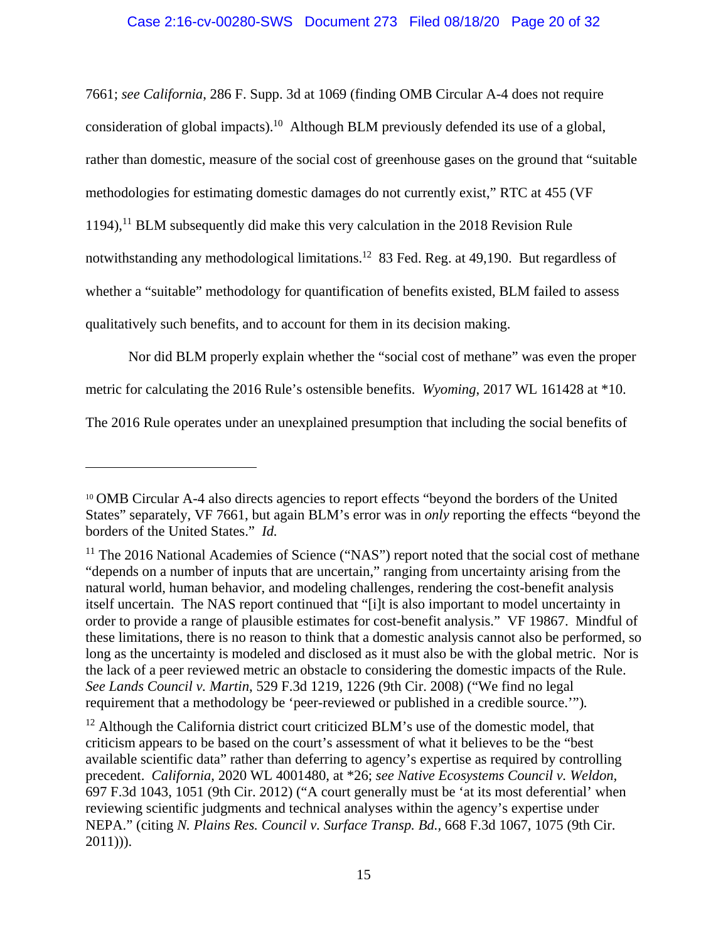7661; *see California*, 286 F. Supp. 3d at 1069 (finding OMB Circular A-4 does not require consideration of global impacts).<sup>10</sup> Although BLM previously defended its use of a global, rather than domestic, measure of the social cost of greenhouse gases on the ground that "suitable methodologies for estimating domestic damages do not currently exist," RTC at 455 (VF  $1194$ ),<sup>11</sup> BLM subsequently did make this very calculation in the 2018 Revision Rule notwithstanding any methodological limitations.12 83 Fed. Reg. at 49,190. But regardless of whether a "suitable" methodology for quantification of benefits existed, BLM failed to assess qualitatively such benefits, and to account for them in its decision making.

Nor did BLM properly explain whether the "social cost of methane" was even the proper metric for calculating the 2016 Rule's ostensible benefits. *Wyoming*, 2017 WL 161428 at \*10. The 2016 Rule operates under an unexplained presumption that including the social benefits of

<sup>&</sup>lt;sup>10</sup> OMB Circular A-4 also directs agencies to report effects "beyond the borders of the United States" separately, VF 7661, but again BLM's error was in *only* reporting the effects "beyond the borders of the United States." *Id.*

 $11$  The 2016 National Academies of Science ("NAS") report noted that the social cost of methane "depends on a number of inputs that are uncertain," ranging from uncertainty arising from the natural world, human behavior, and modeling challenges, rendering the cost-benefit analysis itself uncertain. The NAS report continued that "[i]t is also important to model uncertainty in order to provide a range of plausible estimates for cost-benefit analysis." VF 19867. Mindful of these limitations, there is no reason to think that a domestic analysis cannot also be performed, so long as the uncertainty is modeled and disclosed as it must also be with the global metric. Nor is the lack of a peer reviewed metric an obstacle to considering the domestic impacts of the Rule. *See Lands Council v. Martin*, 529 F.3d 1219, 1226 (9th Cir. 2008) ("We find no legal requirement that a methodology be 'peer-reviewed or published in a credible source.'")*.*

 $12$  Although the California district court criticized BLM's use of the domestic model, that criticism appears to be based on the court's assessment of what it believes to be the "best available scientific data" rather than deferring to agency's expertise as required by controlling precedent. *California*, 2020 WL 4001480, at \*26; *see Native Ecosystems Council v. Weldon,* 697 F.3d 1043, 1051 (9th Cir. 2012) ("A court generally must be 'at its most deferential' when reviewing scientific judgments and technical analyses within the agency's expertise under NEPA." (citing *N. Plains Res. Council v. Surface Transp. Bd.,* 668 F.3d 1067, 1075 (9th Cir.  $2011$ ))).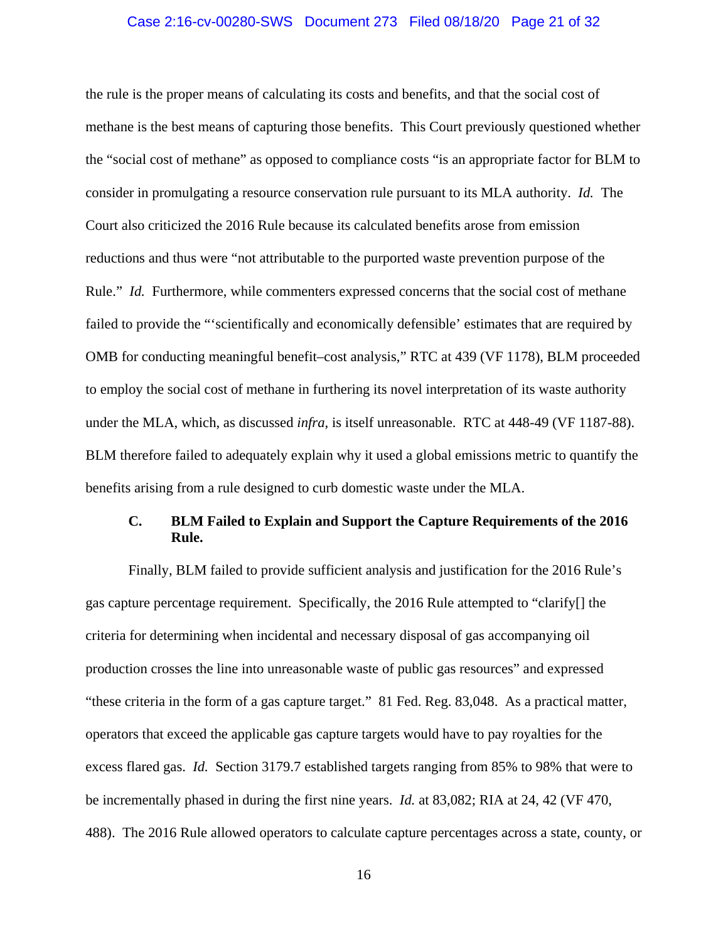#### Case 2:16-cv-00280-SWS Document 273 Filed 08/18/20 Page 21 of 32

the rule is the proper means of calculating its costs and benefits, and that the social cost of methane is the best means of capturing those benefits. This Court previously questioned whether the "social cost of methane" as opposed to compliance costs "is an appropriate factor for BLM to consider in promulgating a resource conservation rule pursuant to its MLA authority. *Id.* The Court also criticized the 2016 Rule because its calculated benefits arose from emission reductions and thus were "not attributable to the purported waste prevention purpose of the Rule." *Id.* Furthermore, while commenters expressed concerns that the social cost of methane failed to provide the "'scientifically and economically defensible' estimates that are required by OMB for conducting meaningful benefit–cost analysis," RTC at 439 (VF 1178), BLM proceeded to employ the social cost of methane in furthering its novel interpretation of its waste authority under the MLA, which, as discussed *infra*, is itself unreasonable. RTC at 448-49 (VF 1187-88). BLM therefore failed to adequately explain why it used a global emissions metric to quantify the benefits arising from a rule designed to curb domestic waste under the MLA.

## **C. BLM Failed to Explain and Support the Capture Requirements of the 2016 Rule.**

Finally, BLM failed to provide sufficient analysis and justification for the 2016 Rule's gas capture percentage requirement. Specifically, the 2016 Rule attempted to "clarify[] the criteria for determining when incidental and necessary disposal of gas accompanying oil production crosses the line into unreasonable waste of public gas resources" and expressed "these criteria in the form of a gas capture target." 81 Fed. Reg. 83,048. As a practical matter, operators that exceed the applicable gas capture targets would have to pay royalties for the excess flared gas. *Id.* Section 3179.7 established targets ranging from 85% to 98% that were to be incrementally phased in during the first nine years. *Id.* at 83,082; RIA at 24, 42 (VF 470, 488). The 2016 Rule allowed operators to calculate capture percentages across a state, county, or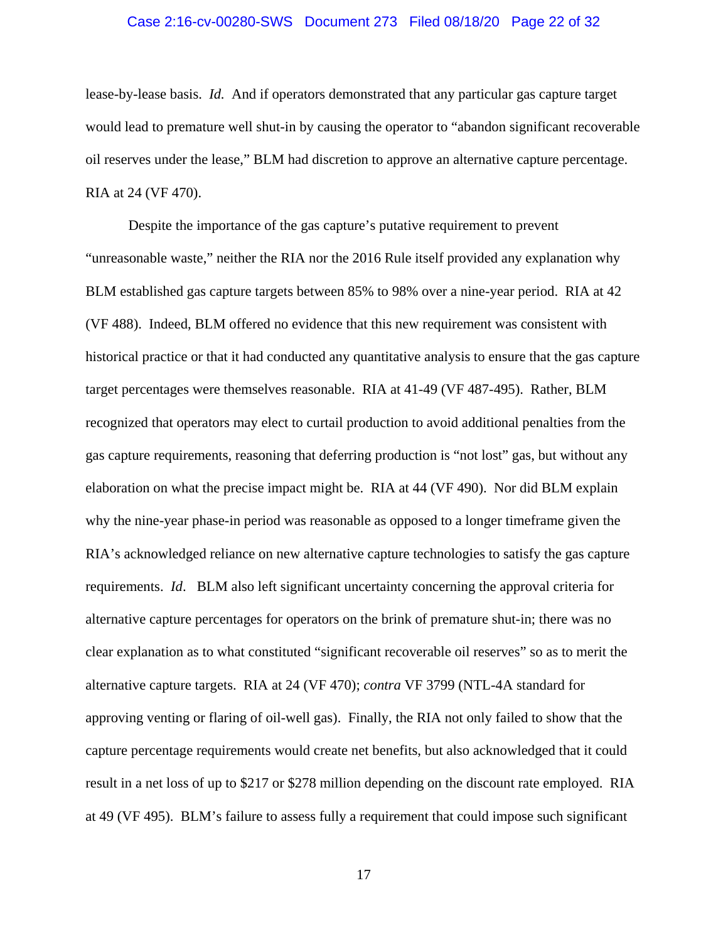#### Case 2:16-cv-00280-SWS Document 273 Filed 08/18/20 Page 22 of 32

lease-by-lease basis. *Id.* And if operators demonstrated that any particular gas capture target would lead to premature well shut-in by causing the operator to "abandon significant recoverable oil reserves under the lease," BLM had discretion to approve an alternative capture percentage. RIA at 24 (VF 470).

Despite the importance of the gas capture's putative requirement to prevent "unreasonable waste," neither the RIA nor the 2016 Rule itself provided any explanation why BLM established gas capture targets between 85% to 98% over a nine-year period. RIA at 42 (VF 488). Indeed, BLM offered no evidence that this new requirement was consistent with historical practice or that it had conducted any quantitative analysis to ensure that the gas capture target percentages were themselves reasonable. RIA at 41-49 (VF 487-495). Rather, BLM recognized that operators may elect to curtail production to avoid additional penalties from the gas capture requirements, reasoning that deferring production is "not lost" gas, but without any elaboration on what the precise impact might be. RIA at 44 (VF 490). Nor did BLM explain why the nine-year phase-in period was reasonable as opposed to a longer timeframe given the RIA's acknowledged reliance on new alternative capture technologies to satisfy the gas capture requirements. *Id*. BLM also left significant uncertainty concerning the approval criteria for alternative capture percentages for operators on the brink of premature shut-in; there was no clear explanation as to what constituted "significant recoverable oil reserves" so as to merit the alternative capture targets. RIA at 24 (VF 470); *contra* VF 3799 (NTL-4A standard for approving venting or flaring of oil-well gas). Finally, the RIA not only failed to show that the capture percentage requirements would create net benefits, but also acknowledged that it could result in a net loss of up to \$217 or \$278 million depending on the discount rate employed. RIA at 49 (VF 495). BLM's failure to assess fully a requirement that could impose such significant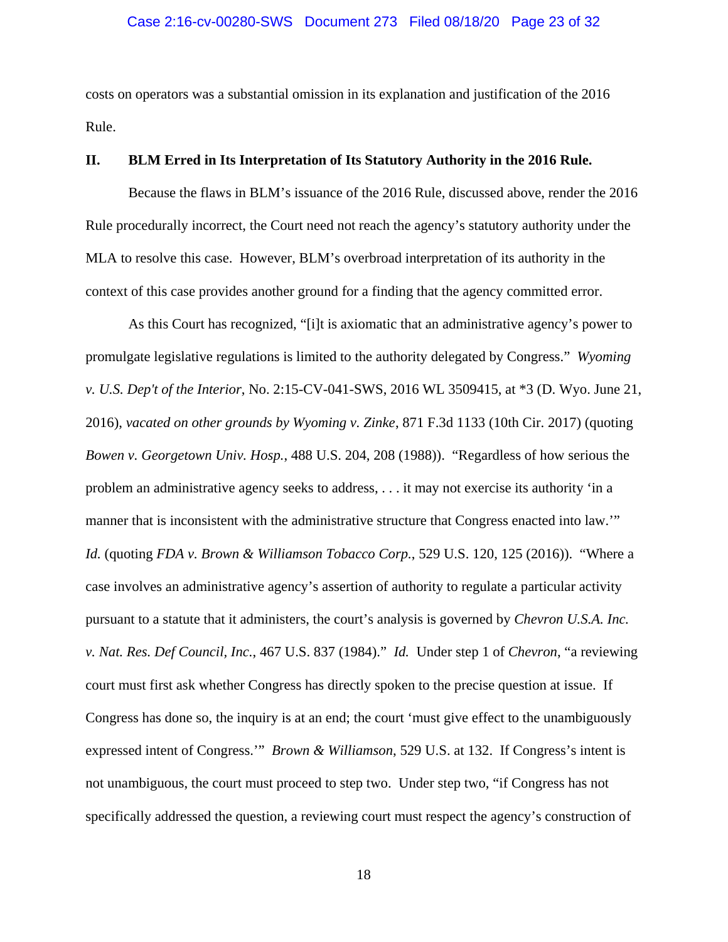#### Case 2:16-cv-00280-SWS Document 273 Filed 08/18/20 Page 23 of 32

costs on operators was a substantial omission in its explanation and justification of the 2016 Rule.

#### **II. BLM Erred in Its Interpretation of Its Statutory Authority in the 2016 Rule.**

Because the flaws in BLM's issuance of the 2016 Rule, discussed above, render the 2016 Rule procedurally incorrect, the Court need not reach the agency's statutory authority under the MLA to resolve this case. However, BLM's overbroad interpretation of its authority in the context of this case provides another ground for a finding that the agency committed error.

As this Court has recognized, "[i]t is axiomatic that an administrative agency's power to promulgate legislative regulations is limited to the authority delegated by Congress." *Wyoming v. U.S. Dep't of the Interior*, No. 2:15-CV-041-SWS, 2016 WL 3509415, at \*3 (D. Wyo. June 21, 2016), *vacated on other grounds by Wyoming v. Zinke*, 871 F.3d 1133 (10th Cir. 2017) (quoting *Bowen v. Georgetown Univ. Hosp.*, 488 U.S. 204, 208 (1988)). "Regardless of how serious the problem an administrative agency seeks to address, . . . it may not exercise its authority 'in a manner that is inconsistent with the administrative structure that Congress enacted into law." *Id.* (quoting *FDA v. Brown & Williamson Tobacco Corp.*, 529 U.S. 120, 125 (2016)). "Where a case involves an administrative agency's assertion of authority to regulate a particular activity pursuant to a statute that it administers, the court's analysis is governed by *Chevron U.S.A. Inc. v. Nat. Res. Def Council, Inc.*, 467 U.S. 837 (1984)." *Id.* Under step 1 of *Chevron*, "a reviewing court must first ask whether Congress has directly spoken to the precise question at issue. If Congress has done so, the inquiry is at an end; the court 'must give effect to the unambiguously expressed intent of Congress.'" *Brown & Williamson*, 529 U.S. at 132. If Congress's intent is not unambiguous, the court must proceed to step two. Under step two, "if Congress has not specifically addressed the question, a reviewing court must respect the agency's construction of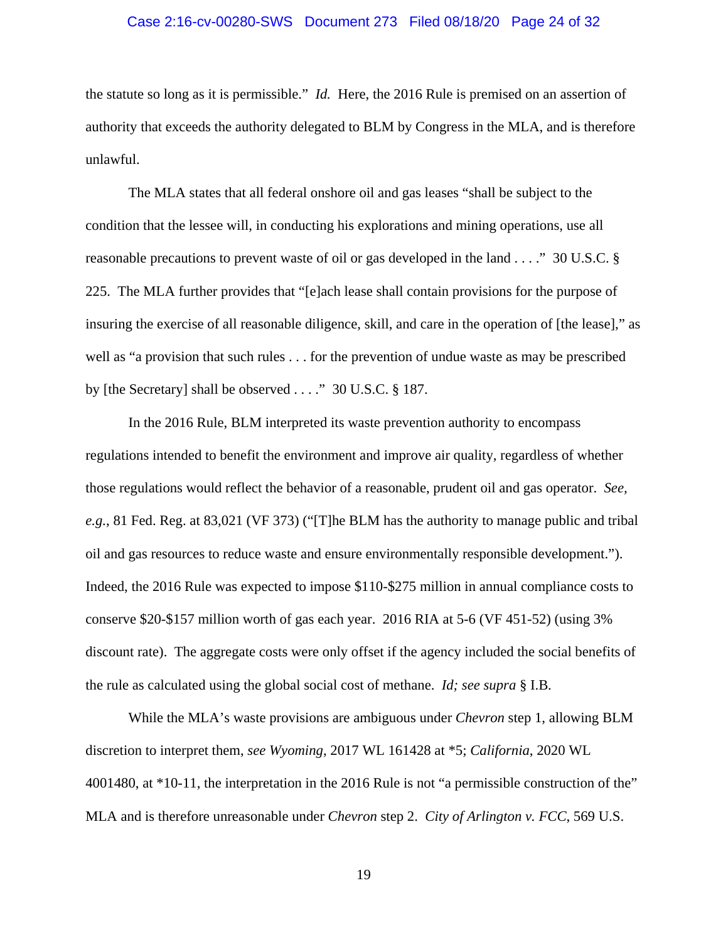#### Case 2:16-cv-00280-SWS Document 273 Filed 08/18/20 Page 24 of 32

the statute so long as it is permissible." *Id.* Here, the 2016 Rule is premised on an assertion of authority that exceeds the authority delegated to BLM by Congress in the MLA, and is therefore unlawful.

The MLA states that all federal onshore oil and gas leases "shall be subject to the condition that the lessee will, in conducting his explorations and mining operations, use all reasonable precautions to prevent waste of oil or gas developed in the land . . . ." 30 U.S.C. § 225. The MLA further provides that "[e]ach lease shall contain provisions for the purpose of insuring the exercise of all reasonable diligence, skill, and care in the operation of [the lease]," as well as "a provision that such rules . . . for the prevention of undue waste as may be prescribed by [the Secretary] shall be observed . . . ." 30 U.S.C. § 187.

In the 2016 Rule, BLM interpreted its waste prevention authority to encompass regulations intended to benefit the environment and improve air quality, regardless of whether those regulations would reflect the behavior of a reasonable, prudent oil and gas operator. *See, e.g.*, 81 Fed. Reg. at 83,021 (VF 373) ("[T]he BLM has the authority to manage public and tribal oil and gas resources to reduce waste and ensure environmentally responsible development."). Indeed, the 2016 Rule was expected to impose \$110-\$275 million in annual compliance costs to conserve \$20-\$157 million worth of gas each year. 2016 RIA at 5-6 (VF 451-52) (using 3% discount rate). The aggregate costs were only offset if the agency included the social benefits of the rule as calculated using the global social cost of methane. *Id; see supra* § I.B*.* 

While the MLA's waste provisions are ambiguous under *Chevron* step 1, allowing BLM discretion to interpret them, *see Wyoming*, 2017 WL 161428 at \*5; *California*, 2020 WL 4001480, at \*10-11, the interpretation in the 2016 Rule is not "a permissible construction of the" MLA and is therefore unreasonable under *Chevron* step 2. *City of Arlington v. FCC*, 569 U.S.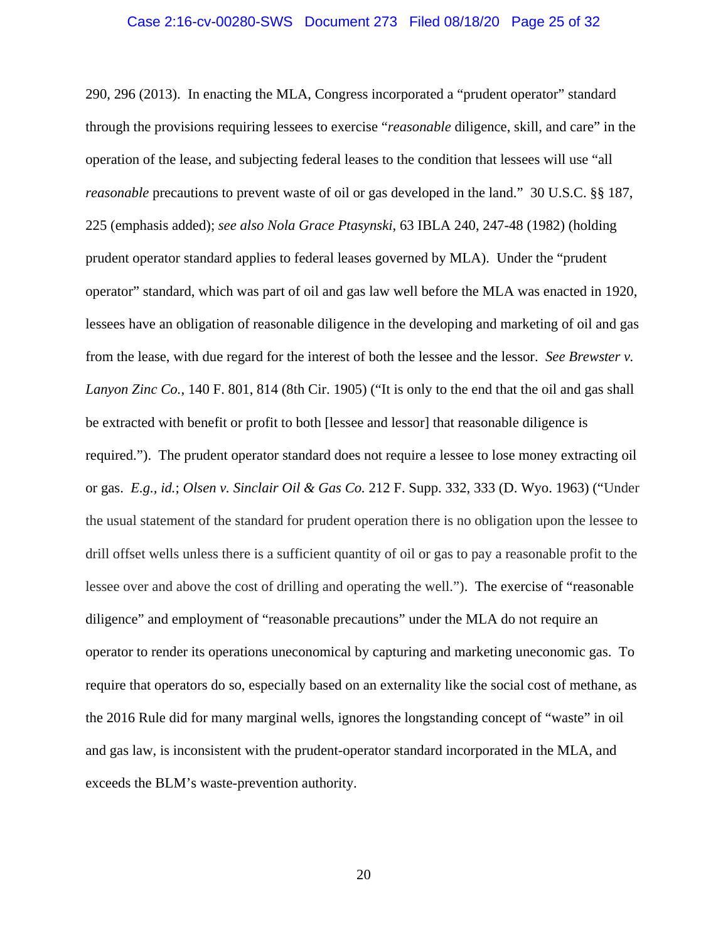#### Case 2:16-cv-00280-SWS Document 273 Filed 08/18/20 Page 25 of 32

290, 296 (2013). In enacting the MLA, Congress incorporated a "prudent operator" standard through the provisions requiring lessees to exercise "*reasonable* diligence, skill, and care" in the operation of the lease, and subjecting federal leases to the condition that lessees will use "all *reasonable* precautions to prevent waste of oil or gas developed in the land." 30 U.S.C. §§ 187, 225 (emphasis added); *see also Nola Grace Ptasynski*, 63 IBLA 240, 247-48 (1982) (holding prudent operator standard applies to federal leases governed by MLA). Under the "prudent operator" standard, which was part of oil and gas law well before the MLA was enacted in 1920, lessees have an obligation of reasonable diligence in the developing and marketing of oil and gas from the lease, with due regard for the interest of both the lessee and the lessor. *See Brewster v. Lanyon Zinc Co.*, 140 F. 801, 814 (8th Cir. 1905) ("It is only to the end that the oil and gas shall be extracted with benefit or profit to both [lessee and lessor] that reasonable diligence is required."). The prudent operator standard does not require a lessee to lose money extracting oil or gas. *E.g., id.*; *Olsen v. Sinclair Oil & Gas Co.* 212 F. Supp. 332, 333 (D. Wyo. 1963) ("Under the usual statement of the standard for prudent operation there is no obligation upon the lessee to drill offset wells unless there is a sufficient quantity of oil or gas to pay a reasonable profit to the lessee over and above the cost of drilling and operating the well."). The exercise of "reasonable diligence" and employment of "reasonable precautions" under the MLA do not require an operator to render its operations uneconomical by capturing and marketing uneconomic gas. To require that operators do so, especially based on an externality like the social cost of methane, as the 2016 Rule did for many marginal wells, ignores the longstanding concept of "waste" in oil and gas law, is inconsistent with the prudent-operator standard incorporated in the MLA, and exceeds the BLM's waste-prevention authority.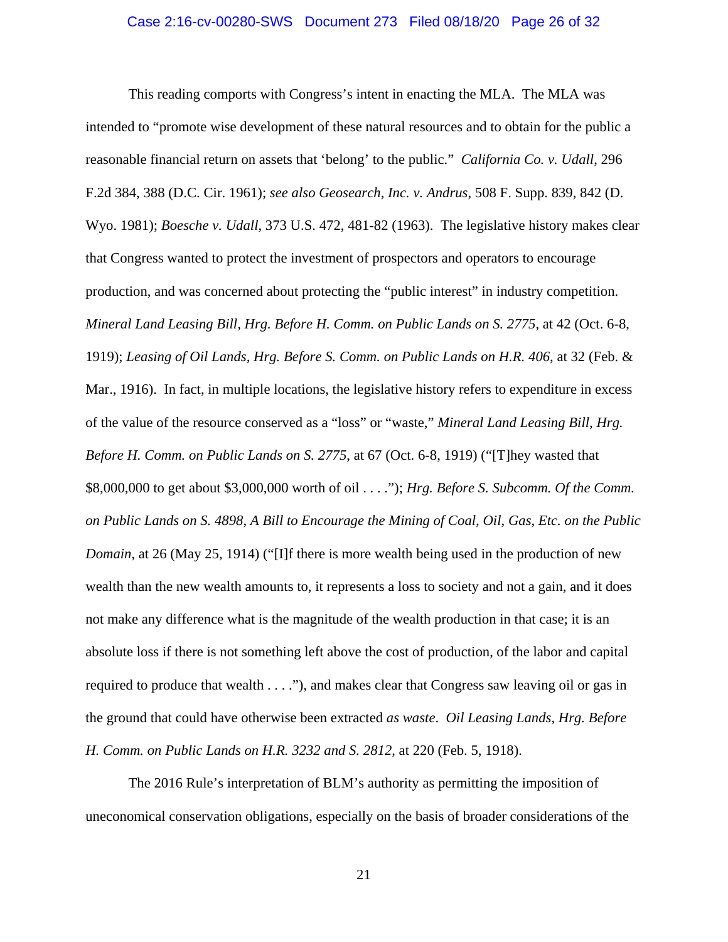This reading comports with Congress's intent in enacting the MLA. The MLA was intended to "promote wise development of these natural resources and to obtain for the public a reasonable financial return on assets that 'belong' to the public." *California Co. v. Udall*, 296 F.2d 384, 388 (D.C. Cir. 1961); *see also Geosearch, Inc. v. Andrus*, 508 F. Supp. 839, 842 (D. Wyo. 1981); *Boesche v. Udall*, 373 U.S. 472, 481-82 (1963). The legislative history makes clear that Congress wanted to protect the investment of prospectors and operators to encourage production, and was concerned about protecting the "public interest" in industry competition. *Mineral Land Leasing Bill, Hrg. Before H. Comm. on Public Lands on S. 2775*, at 42 (Oct. 6-8, 1919); *Leasing of Oil Lands, Hrg. Before S. Comm. on Public Lands on H.R. 406*, at 32 (Feb. & Mar., 1916). In fact, in multiple locations, the legislative history refers to expenditure in excess of the value of the resource conserved as a "loss" or "waste," *Mineral Land Leasing Bill, Hrg. Before H. Comm. on Public Lands on S. 2775*, at 67 (Oct. 6-8, 1919) ("[T]hey wasted that \$8,000,000 to get about \$3,000,000 worth of oil . . . ."); *Hrg. Before S. Subcomm. Of the Comm. on Public Lands on S. 4898, A Bill to Encourage the Mining of Coal, Oil, Gas, Etc. on the Public Domain*, at 26 (May 25, 1914) ("[I]f there is more wealth being used in the production of new wealth than the new wealth amounts to, it represents a loss to society and not a gain, and it does not make any difference what is the magnitude of the wealth production in that case; it is an absolute loss if there is not something left above the cost of production, of the labor and capital required to produce that wealth . . . ."), and makes clear that Congress saw leaving oil or gas in the ground that could have otherwise been extracted *as waste*. *Oil Leasing Lands, Hrg. Before H. Comm. on Public Lands on H.R. 3232 and S. 2812*, at 220 (Feb. 5, 1918).

The 2016 Rule's interpretation of BLM's authority as permitting the imposition of uneconomical conservation obligations, especially on the basis of broader considerations of the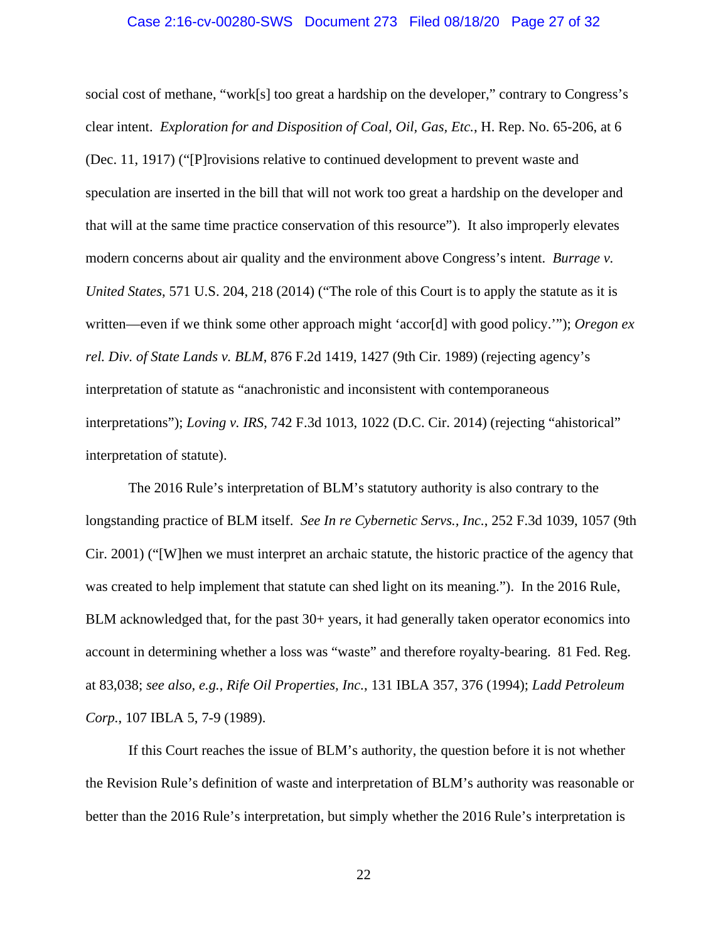#### Case 2:16-cv-00280-SWS Document 273 Filed 08/18/20 Page 27 of 32

social cost of methane, "work[s] too great a hardship on the developer," contrary to Congress's clear intent. *Exploration for and Disposition of Coal, Oil, Gas, Etc.*, H. Rep. No. 65-206, at 6 (Dec. 11, 1917) ("[P]rovisions relative to continued development to prevent waste and speculation are inserted in the bill that will not work too great a hardship on the developer and that will at the same time practice conservation of this resource"). It also improperly elevates modern concerns about air quality and the environment above Congress's intent. *Burrage v. United States*, 571 U.S. 204, 218 (2014) ("The role of this Court is to apply the statute as it is written—even if we think some other approach might 'accor[d] with good policy.'"); *Oregon ex rel. Div. of State Lands v. BLM*, 876 F.2d 1419, 1427 (9th Cir. 1989) (rejecting agency's interpretation of statute as "anachronistic and inconsistent with contemporaneous interpretations"); *Loving v. IRS*, 742 F.3d 1013, 1022 (D.C. Cir. 2014) (rejecting "ahistorical" interpretation of statute).

The 2016 Rule's interpretation of BLM's statutory authority is also contrary to the longstanding practice of BLM itself. *See In re Cybernetic Servs., Inc.*, 252 F.3d 1039, 1057 (9th Cir. 2001) ("[W]hen we must interpret an archaic statute, the historic practice of the agency that was created to help implement that statute can shed light on its meaning."). In the 2016 Rule, BLM acknowledged that, for the past 30+ years, it had generally taken operator economics into account in determining whether a loss was "waste" and therefore royalty-bearing. 81 Fed. Reg. at 83,038; *see also, e.g.*, *Rife Oil Properties, Inc.*, 131 IBLA 357, 376 (1994); *Ladd Petroleum Corp.*, 107 IBLA 5, 7-9 (1989).

If this Court reaches the issue of BLM's authority, the question before it is not whether the Revision Rule's definition of waste and interpretation of BLM's authority was reasonable or better than the 2016 Rule's interpretation, but simply whether the 2016 Rule's interpretation is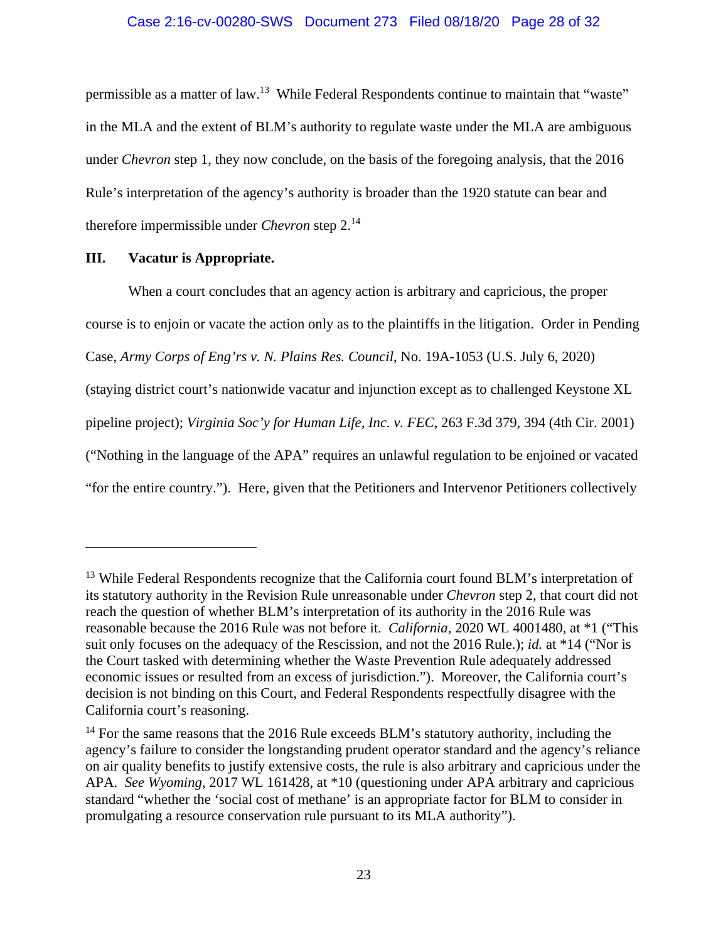permissible as a matter of law.<sup>13</sup> While Federal Respondents continue to maintain that "waste" in the MLA and the extent of BLM's authority to regulate waste under the MLA are ambiguous under *Chevron* step 1, they now conclude, on the basis of the foregoing analysis, that the 2016 Rule's interpretation of the agency's authority is broader than the 1920 statute can bear and therefore impermissible under *Chevron* step 2.14

### **III. Vacatur is Appropriate.**

1

When a court concludes that an agency action is arbitrary and capricious, the proper course is to enjoin or vacate the action only as to the plaintiffs in the litigation. Order in Pending Case, *Army Corps of Eng'rs v. N. Plains Res. Council*, No. 19A-1053 (U.S. July 6, 2020) (staying district court's nationwide vacatur and injunction except as to challenged Keystone XL pipeline project); *Virginia Soc'y for Human Life, Inc. v. FEC*, 263 F.3d 379, 394 (4th Cir. 2001) ("Nothing in the language of the APA" requires an unlawful regulation to be enjoined or vacated "for the entire country."). Here, given that the Petitioners and Intervenor Petitioners collectively

<sup>&</sup>lt;sup>13</sup> While Federal Respondents recognize that the California court found BLM's interpretation of its statutory authority in the Revision Rule unreasonable under *Chevron* step 2, that court did not reach the question of whether BLM's interpretation of its authority in the 2016 Rule was reasonable because the 2016 Rule was not before it. *California*, 2020 WL 4001480, at \*1 ("This suit only focuses on the adequacy of the Rescission, and not the 2016 Rule.); *id.* at \*14 ("Nor is the Court tasked with determining whether the Waste Prevention Rule adequately addressed economic issues or resulted from an excess of jurisdiction."). Moreover, the California court's decision is not binding on this Court, and Federal Respondents respectfully disagree with the California court's reasoning.

<sup>&</sup>lt;sup>14</sup> For the same reasons that the 2016 Rule exceeds BLM's statutory authority, including the agency's failure to consider the longstanding prudent operator standard and the agency's reliance on air quality benefits to justify extensive costs, the rule is also arbitrary and capricious under the APA. *See Wyoming*, 2017 WL 161428, at \*10 (questioning under APA arbitrary and capricious standard "whether the 'social cost of methane' is an appropriate factor for BLM to consider in promulgating a resource conservation rule pursuant to its MLA authority").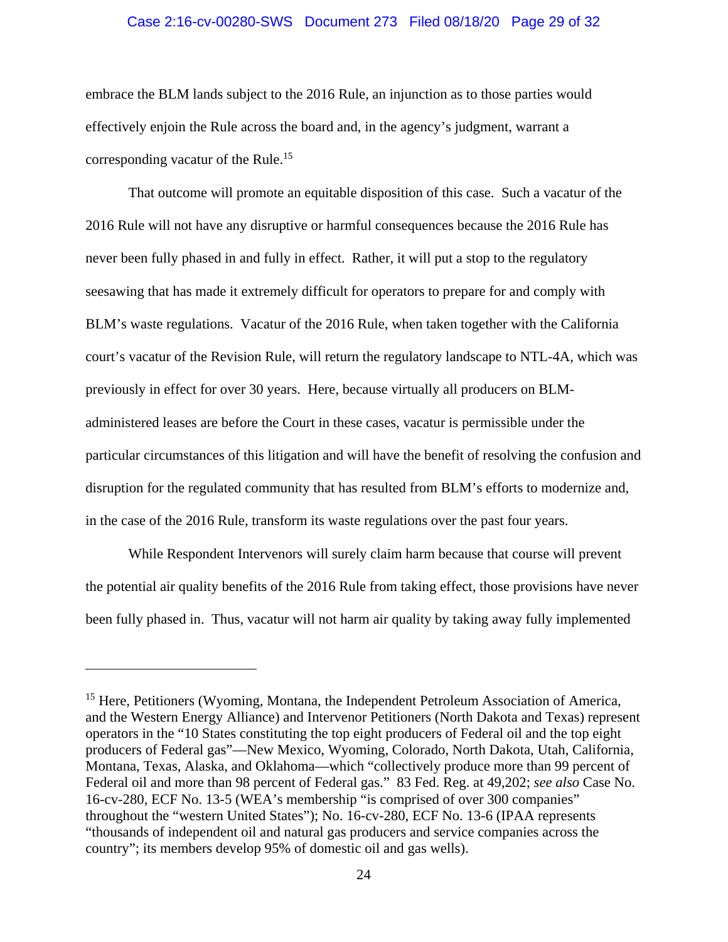#### Case 2:16-cv-00280-SWS Document 273 Filed 08/18/20 Page 29 of 32

embrace the BLM lands subject to the 2016 Rule, an injunction as to those parties would effectively enjoin the Rule across the board and, in the agency's judgment, warrant a corresponding vacatur of the Rule.<sup>15</sup>

That outcome will promote an equitable disposition of this case. Such a vacatur of the 2016 Rule will not have any disruptive or harmful consequences because the 2016 Rule has never been fully phased in and fully in effect. Rather, it will put a stop to the regulatory seesawing that has made it extremely difficult for operators to prepare for and comply with BLM's waste regulations. Vacatur of the 2016 Rule, when taken together with the California court's vacatur of the Revision Rule, will return the regulatory landscape to NTL-4A, which was previously in effect for over 30 years. Here, because virtually all producers on BLMadministered leases are before the Court in these cases, vacatur is permissible under the particular circumstances of this litigation and will have the benefit of resolving the confusion and disruption for the regulated community that has resulted from BLM's efforts to modernize and, in the case of the 2016 Rule, transform its waste regulations over the past four years.

While Respondent Intervenors will surely claim harm because that course will prevent the potential air quality benefits of the 2016 Rule from taking effect, those provisions have never been fully phased in. Thus, vacatur will not harm air quality by taking away fully implemented

<sup>&</sup>lt;sup>15</sup> Here, Petitioners (Wyoming, Montana, the Independent Petroleum Association of America, and the Western Energy Alliance) and Intervenor Petitioners (North Dakota and Texas) represent operators in the "10 States constituting the top eight producers of Federal oil and the top eight producers of Federal gas"—New Mexico, Wyoming, Colorado, North Dakota, Utah, California, Montana, Texas, Alaska, and Oklahoma—which "collectively produce more than 99 percent of Federal oil and more than 98 percent of Federal gas." 83 Fed. Reg. at 49,202; *see also* Case No. 16-cv-280, ECF No. 13-5 (WEA's membership "is comprised of over 300 companies" throughout the "western United States"); No. 16-cv-280, ECF No. 13-6 (IPAA represents "thousands of independent oil and natural gas producers and service companies across the country"; its members develop 95% of domestic oil and gas wells).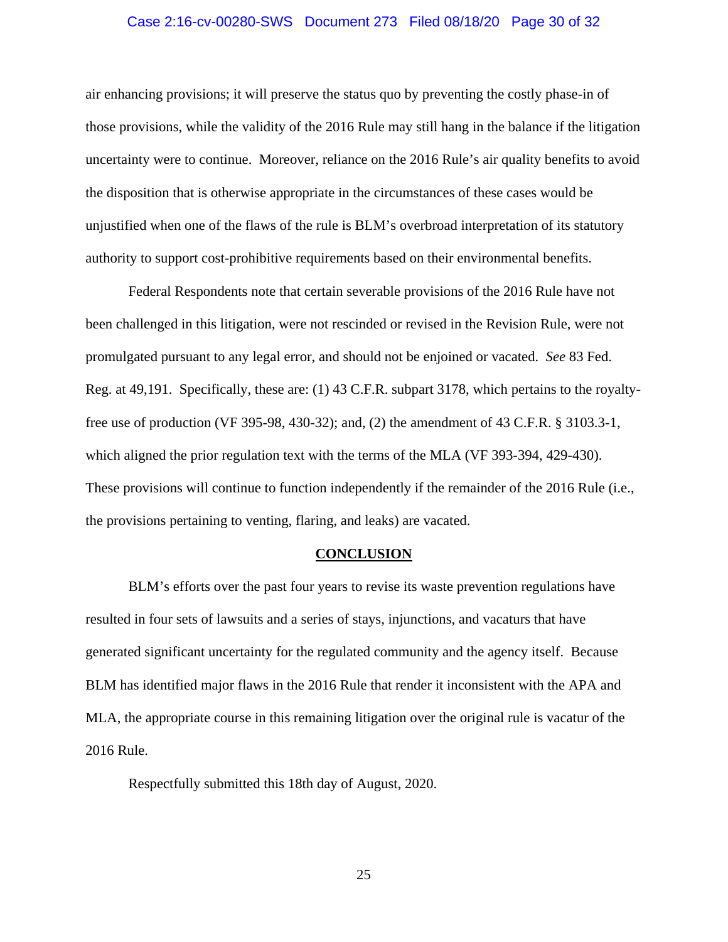#### Case 2:16-cv-00280-SWS Document 273 Filed 08/18/20 Page 30 of 32

air enhancing provisions; it will preserve the status quo by preventing the costly phase-in of those provisions, while the validity of the 2016 Rule may still hang in the balance if the litigation uncertainty were to continue. Moreover, reliance on the 2016 Rule's air quality benefits to avoid the disposition that is otherwise appropriate in the circumstances of these cases would be unjustified when one of the flaws of the rule is BLM's overbroad interpretation of its statutory authority to support cost-prohibitive requirements based on their environmental benefits.

Federal Respondents note that certain severable provisions of the 2016 Rule have not been challenged in this litigation, were not rescinded or revised in the Revision Rule, were not promulgated pursuant to any legal error, and should not be enjoined or vacated. *See* 83 Fed. Reg. at 49,191. Specifically, these are: (1) 43 C.F.R. subpart 3178, which pertains to the royaltyfree use of production (VF 395-98, 430-32); and, (2) the amendment of 43 C.F.R. § 3103.3-1, which aligned the prior regulation text with the terms of the MLA (VF 393-394, 429-430). These provisions will continue to function independently if the remainder of the 2016 Rule (i.e., the provisions pertaining to venting, flaring, and leaks) are vacated.

#### **CONCLUSION**

 BLM's efforts over the past four years to revise its waste prevention regulations have resulted in four sets of lawsuits and a series of stays, injunctions, and vacaturs that have generated significant uncertainty for the regulated community and the agency itself. Because BLM has identified major flaws in the 2016 Rule that render it inconsistent with the APA and MLA, the appropriate course in this remaining litigation over the original rule is vacatur of the 2016 Rule.

Respectfully submitted this 18th day of August, 2020.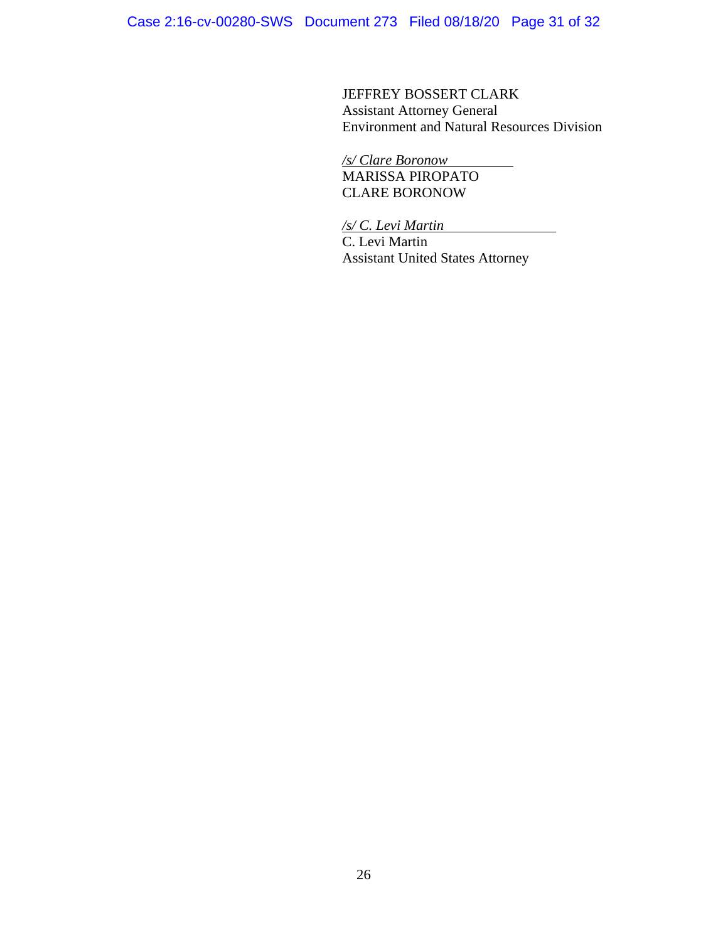Case 2:16-cv-00280-SWS Document 273 Filed 08/18/20 Page 31 of 32

JEFFREY BOSSERT CLARK Assistant Attorney General Environment and Natural Resources Division

*/s/ Clare Boronow*  MARISSA PIROPATO CLARE BORONOW

*/s/ C. Levi Martin*  C. Levi Martin

Assistant United States Attorney